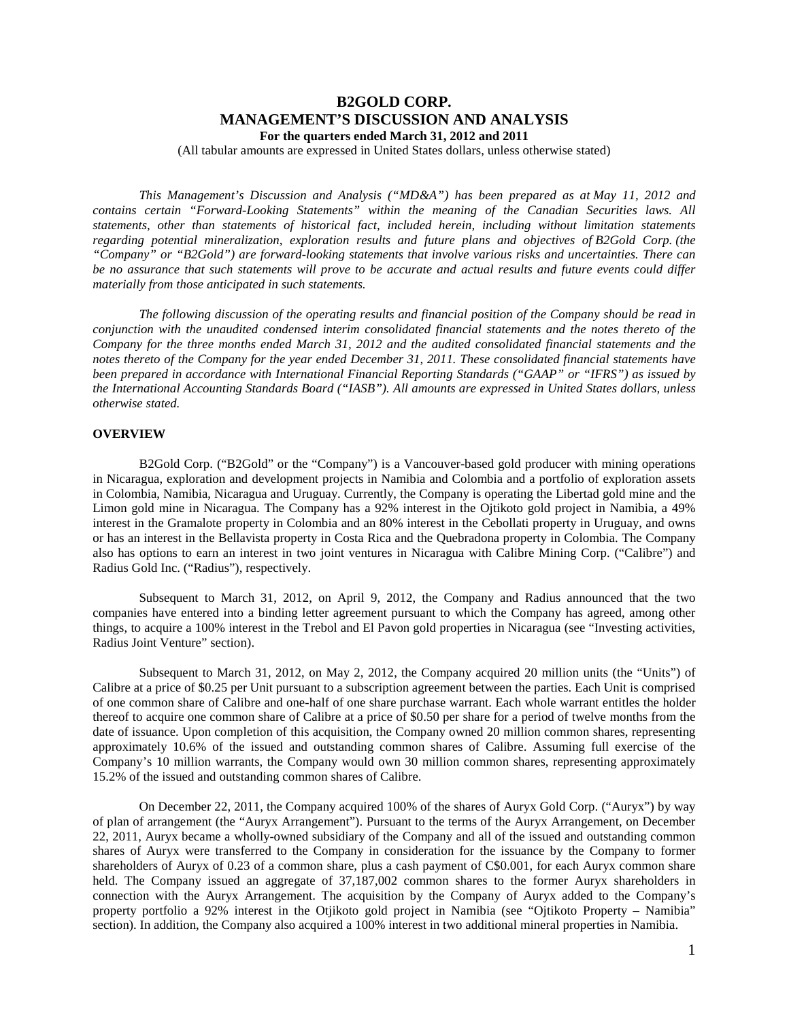# **B2GOLD CORP. MANAGEMENT'S DISCUSSION AND ANALYSIS For the quarters ended March 31, 2012 and 2011**

(All tabular amounts are expressed in United States dollars, unless otherwise stated)

*This Management's Discussion and Analysis ("MD&A") has been prepared as at May 11, 2012 and contains certain "Forward-Looking Statements" within the meaning of the Canadian Securities laws. All statements, other than statements of historical fact, included herein, including without limitation statements regarding potential mineralization, exploration results and future plans and objectives of B2Gold Corp. (the "Company" or "B2Gold") are forward-looking statements that involve various risks and uncertainties. There can be no assurance that such statements will prove to be accurate and actual results and future events could differ materially from those anticipated in such statements.*

*The following discussion of the operating results and financial position of the Company should be read in conjunction with the unaudited condensed interim consolidated financial statements and the notes thereto of the Company for the three months ended March 31, 2012 and the audited consolidated financial statements and the notes thereto of the Company for the year ended December 31, 2011. These consolidated financial statements have been prepared in accordance with International Financial Reporting Standards ("GAAP" or "IFRS") as issued by the International Accounting Standards Board ("IASB"). All amounts are expressed in United States dollars, unless otherwise stated.*

### **OVERVIEW**

B2Gold Corp. ("B2Gold" or the "Company") is a Vancouver-based gold producer with mining operations in Nicaragua, exploration and development projects in Namibia and Colombia and a portfolio of exploration assets in Colombia, Namibia, Nicaragua and Uruguay. Currently, the Company is operating the Libertad gold mine and the Limon gold mine in Nicaragua. The Company has a 92% interest in the Ojtikoto gold project in Namibia, a 49% interest in the Gramalote property in Colombia and an 80% interest in the Cebollati property in Uruguay, and owns or has an interest in the Bellavista property in Costa Rica and the Quebradona property in Colombia. The Company also has options to earn an interest in two joint ventures in Nicaragua with Calibre Mining Corp. ("Calibre") and Radius Gold Inc. ("Radius"), respectively.

Subsequent to March 31, 2012, on April 9, 2012, the Company and Radius announced that the two companies have entered into a binding letter agreement pursuant to which the Company has agreed, among other things, to acquire a 100% interest in the Trebol and El Pavon gold properties in Nicaragua (see "Investing activities, Radius Joint Venture" section).

Subsequent to March 31, 2012, on May 2, 2012, the Company acquired 20 million units (the "Units") of Calibre at a price of \$0.25 per Unit pursuant to a subscription agreement between the parties. Each Unit is comprised of one common share of Calibre and one-half of one share purchase warrant. Each whole warrant entitles the holder thereof to acquire one common share of Calibre at a price of \$0.50 per share for a period of twelve months from the date of issuance. Upon completion of this acquisition, the Company owned 20 million common shares, representing approximately 10.6% of the issued and outstanding common shares of Calibre. Assuming full exercise of the Company's 10 million warrants, the Company would own 30 million common shares, representing approximately 15.2% of the issued and outstanding common shares of Calibre.

On December 22, 2011, the Company acquired 100% of the shares of Auryx Gold Corp. ("Auryx") by way of plan of arrangement (the "Auryx Arrangement"). Pursuant to the terms of the Auryx Arrangement, on December 22, 2011, Auryx became a wholly-owned subsidiary of the Company and all of the issued and outstanding common shares of Auryx were transferred to the Company in consideration for the issuance by the Company to former shareholders of Auryx of 0.23 of a common share, plus a cash payment of C\$0.001, for each Auryx common share held. The Company issued an aggregate of  $37,187,002$  common shares to the former Auryx shareholders in connection with the Auryx Arrangement. The acquisition by the Company of Auryx added to the Company's property portfolio a 92% interest in the Otjikoto gold project in Namibia (see "Ojtikoto Property – Namibia" section). In addition, the Company also acquired a 100% interest in two additional mineral properties in Namibia.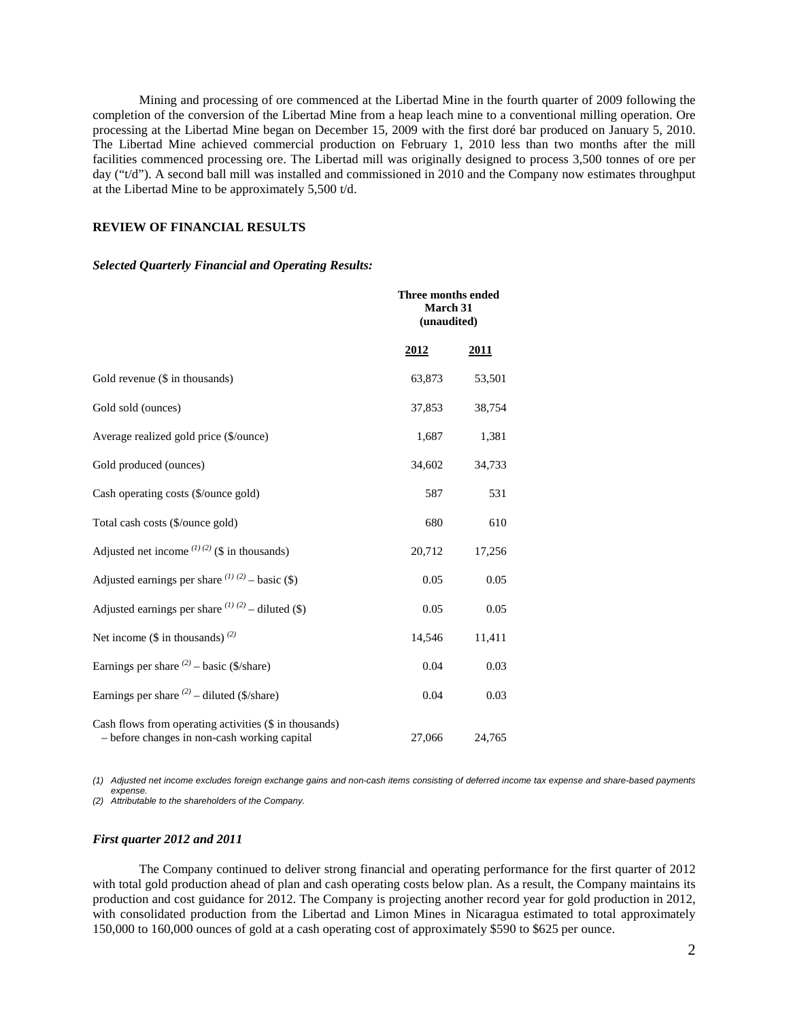Mining and processing of ore commenced at the Libertad Mine in the fourth quarter of 2009 following the completion of the conversion of the Libertad Mine from a heap leach mine to a conventional milling operation. Ore processing at the Libertad Mine began on December 15, 2009 with the first doré bar produced on January 5, 2010. The Libertad Mine achieved commercial production on February 1, 2010 less than two months after the mill facilities commenced processing ore. The Libertad mill was originally designed to process 3,500 tonnes of ore per day ("t/d"). A second ball mill was installed and commissioned in 2010 and the Company now estimates throughput at the Libertad Mine to be approximately 5,500 t/d.

# **REVIEW OF FINANCIAL RESULTS**

#### *Selected Quarterly Financial and Operating Results:*

|                                                                                                        | Three months ended<br>March 31<br>(unaudited) |             |
|--------------------------------------------------------------------------------------------------------|-----------------------------------------------|-------------|
|                                                                                                        | 2012                                          | <u>2011</u> |
| Gold revenue (\$ in thousands)                                                                         | 63,873                                        | 53,501      |
| Gold sold (ounces)                                                                                     | 37,853                                        | 38,754      |
| Average realized gold price (\$/ounce)                                                                 | 1,687                                         | 1,381       |
| Gold produced (ounces)                                                                                 | 34,602                                        | 34,733      |
| Cash operating costs (\$/ounce gold)                                                                   | 587                                           | 531         |
| Total cash costs (\$/ounce gold)                                                                       | 680                                           | 610         |
| Adjusted net income $^{(1)(2)}$ (\$ in thousands)                                                      | 20,712                                        | 17,256      |
| Adjusted earnings per share $(1)(2)$ – basic (\$)                                                      | 0.05                                          | 0.05        |
| Adjusted earnings per share $(1)(2)$ – diluted (\$)                                                    | 0.05                                          | 0.05        |
| Net income $(\$$ in thousands) <sup>(2)</sup>                                                          | 14,546                                        | 11,411      |
| Earnings per share $^{(2)}$ – basic (\$/share)                                                         | 0.04                                          | 0.03        |
| Earnings per share $(2)$ – diluted (\$/share)                                                          | 0.04                                          | 0.03        |
| Cash flows from operating activities (\$ in thousands)<br>- before changes in non-cash working capital | 27,066                                        | 24,765      |

*(1) Adjusted net income excludes foreign exchange gains and non-cash items consisting of deferred income tax expense and share-based payments expense.* 

*(2) Attributable to the shareholders of the Company.* 

### *First quarter 2012 and 2011*

The Company continued to deliver strong financial and operating performance for the first quarter of 2012 with total gold production ahead of plan and cash operating costs below plan. As a result, the Company maintains its production and cost guidance for 2012. The Company is projecting another record year for gold production in 2012, with consolidated production from the Libertad and Limon Mines in Nicaragua estimated to total approximately 150,000 to 160,000 ounces of gold at a cash operating cost of approximately \$590 to \$625 per ounce.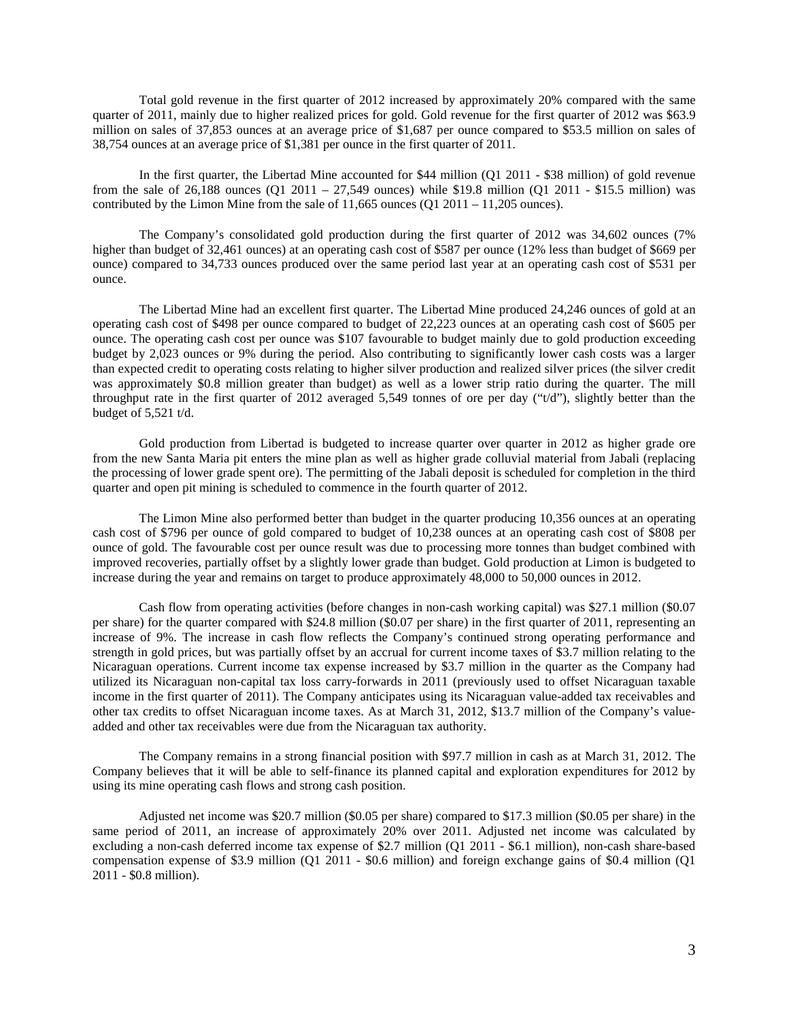Total gold revenue in the first quarter of 2012 increased by approximately 20% compared with the same quarter of 2011, mainly due to higher realized prices for gold. Gold revenue for the first quarter of 2012 was \$63.9 million on sales of 37,853 ounces at an average price of \$1,687 per ounce compared to \$53.5 million on sales of 38,754 ounces at an average price of \$1,381 per ounce in the first quarter of 2011.

In the first quarter, the Libertad Mine accounted for \$44 million (Q1 2011 - \$38 million) of gold revenue from the sale of 26,188 ounces (Q1 2011 – 27,549 ounces) while \$19.8 million (Q1 2011 - \$15.5 million) was contributed by the Limon Mine from the sale of 11,665 ounces (Q1 2011 – 11,205 ounces).

The Company's consolidated gold production during the first quarter of 2012 was 34,602 ounces (7% higher than budget of 32,461 ounces) at an operating cash cost of \$587 per ounce (12% less than budget of \$669 per ounce) compared to 34,733 ounces produced over the same period last year at an operating cash cost of \$531 per ounce.

The Libertad Mine had an excellent first quarter. The Libertad Mine produced 24,246 ounces of gold at an operating cash cost of \$498 per ounce compared to budget of 22,223 ounces at an operating cash cost of \$605 per ounce. The operating cash cost per ounce was \$107 favourable to budget mainly due to gold production exceeding budget by 2,023 ounces or 9% during the period. Also contributing to significantly lower cash costs was a larger than expected credit to operating costs relating to higher silver production and realized silver prices (the silver credit was approximately \$0.8 million greater than budget) as well as a lower strip ratio during the quarter. The mill throughput rate in the first quarter of 2012 averaged 5,549 tonnes of ore per day ("t/d"), slightly better than the budget of 5,521 t/d.

Gold production from Libertad is budgeted to increase quarter over quarter in 2012 as higher grade ore from the new Santa Maria pit enters the mine plan as well as higher grade colluvial material from Jabali (replacing the processing of lower grade spent ore). The permitting of the Jabali deposit is scheduled for completion in the third quarter and open pit mining is scheduled to commence in the fourth quarter of 2012.

The Limon Mine also performed better than budget in the quarter producing 10,356 ounces at an operating cash cost of \$796 per ounce of gold compared to budget of 10,238 ounces at an operating cash cost of \$808 per ounce of gold. The favourable cost per ounce result was due to processing more tonnes than budget combined with improved recoveries, partially offset by a slightly lower grade than budget. Gold production at Limon is budgeted to increase during the year and remains on target to produce approximately 48,000 to 50,000 ounces in 2012.

Cash flow from operating activities (before changes in non-cash working capital) was \$27.1 million (\$0.07 per share) for the quarter compared with \$24.8 million (\$0.07 per share) in the first quarter of 2011, representing an increase of 9%. The increase in cash flow reflects the Company's continued strong operating performance and strength in gold prices, but was partially offset by an accrual for current income taxes of \$3.7 million relating to the Nicaraguan operations. Current income tax expense increased by \$3.7 million in the quarter as the Company had utilized its Nicaraguan non-capital tax loss carry-forwards in 2011 (previously used to offset Nicaraguan taxable income in the first quarter of 2011). The Company anticipates using its Nicaraguan value-added tax receivables and other tax credits to offset Nicaraguan income taxes. As at March 31, 2012, \$13.7 million of the Company's valueadded and other tax receivables were due from the Nicaraguan tax authority.

The Company remains in a strong financial position with \$97.7 million in cash as at March 31, 2012. The Company believes that it will be able to self-finance its planned capital and exploration expenditures for 2012 by using its mine operating cash flows and strong cash position.

Adjusted net income was \$20.7 million (\$0.05 per share) compared to \$17.3 million (\$0.05 per share) in the same period of 2011, an increase of approximately 20% over 2011. Adjusted net income was calculated by excluding a non-cash deferred income tax expense of \$2.7 million (Q1 2011 - \$6.1 million), non-cash share-based compensation expense of \$3.9 million (Q1 2011 - \$0.6 million) and foreign exchange gains of \$0.4 million (Q1 2011 - \$0.8 million).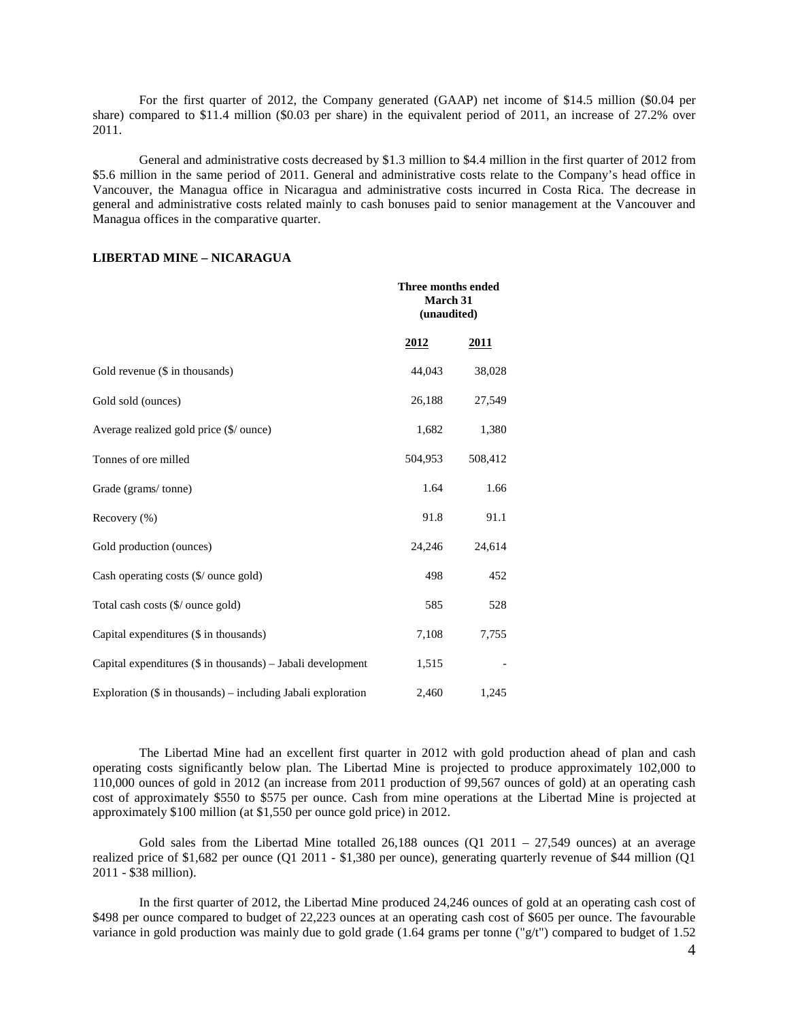For the first quarter of 2012, the Company generated (GAAP) net income of \$14.5 million (\$0.04 per share) compared to \$11.4 million (\$0.03 per share) in the equivalent period of 2011, an increase of 27.2% over 2011.

General and administrative costs decreased by \$1.3 million to \$4.4 million in the first quarter of 2012 from \$5.6 million in the same period of 2011. General and administrative costs relate to the Company's head office in Vancouver, the Managua office in Nicaragua and administrative costs incurred in Costa Rica. The decrease in general and administrative costs related mainly to cash bonuses paid to senior management at the Vancouver and Managua offices in the comparative quarter.

#### **LIBERTAD MINE – NICARAGUA**

|                                                                | Three months ended<br><b>March 31</b><br>(unaudited) |             |
|----------------------------------------------------------------|------------------------------------------------------|-------------|
|                                                                | <u>2012</u>                                          | <u>2011</u> |
| Gold revenue (\$ in thousands)                                 | 44,043                                               | 38,028      |
| Gold sold (ounces)                                             | 26,188                                               | 27,549      |
| Average realized gold price (\$/ ounce)                        | 1,682                                                | 1,380       |
| Tonnes of ore milled                                           | 504,953                                              | 508,412     |
| Grade (grams/tonne)                                            | 1.64                                                 | 1.66        |
| Recovery (%)                                                   | 91.8                                                 | 91.1        |
| Gold production (ounces)                                       | 24,246                                               | 24,614      |
| Cash operating costs $(\frac{6}{\sqrt{2}})$ ounce gold)        | 498                                                  | 452         |
| Total cash costs (\$/ ounce gold)                              | 585                                                  | 528         |
| Capital expenditures (\$ in thousands)                         | 7,108                                                | 7,755       |
| Capital expenditures (\$ in thousands) - Jabali development    | 1,515                                                |             |
| Exploration $(\$$ in thousands) – including Jabali exploration | 2,460                                                | 1,245       |

The Libertad Mine had an excellent first quarter in 2012 with gold production ahead of plan and cash operating costs significantly below plan. The Libertad Mine is projected to produce approximately 102,000 to 110,000 ounces of gold in 2012 (an increase from 2011 production of 99,567 ounces of gold) at an operating cash cost of approximately \$550 to \$575 per ounce. Cash from mine operations at the Libertad Mine is projected at approximately \$100 million (at \$1,550 per ounce gold price) in 2012.

Gold sales from the Libertad Mine totalled 26,188 ounces  $(Q1\ 2011 - 27,549)$  ounces) at an average realized price of \$1,682 per ounce (Q1 2011 - \$1,380 per ounce), generating quarterly revenue of \$44 million (Q1 2011 - \$38 million).

In the first quarter of 2012, the Libertad Mine produced 24,246 ounces of gold at an operating cash cost of \$498 per ounce compared to budget of 22,223 ounces at an operating cash cost of \$605 per ounce. The favourable variance in gold production was mainly due to gold grade  $(1.64 \text{ grams})$  per tonne ("g/t") compared to budget of 1.52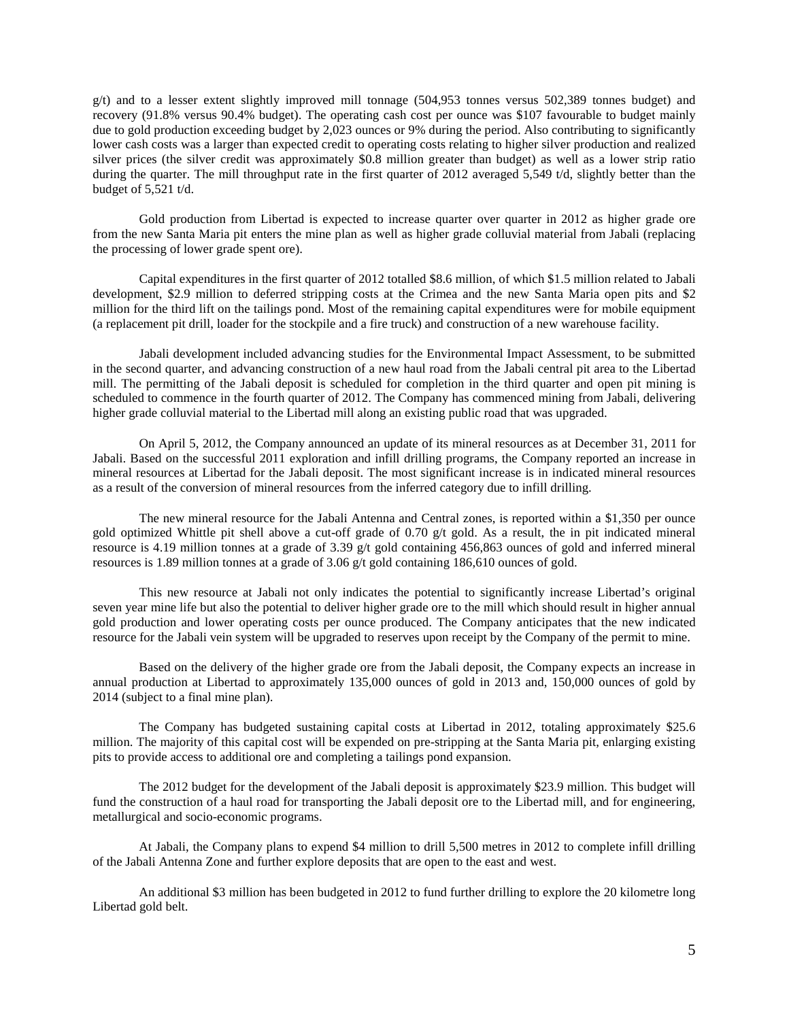g/t) and to a lesser extent slightly improved mill tonnage (504,953 tonnes versus 502,389 tonnes budget) and recovery (91.8% versus 90.4% budget). The operating cash cost per ounce was \$107 favourable to budget mainly due to gold production exceeding budget by 2,023 ounces or 9% during the period. Also contributing to significantly lower cash costs was a larger than expected credit to operating costs relating to higher silver production and realized silver prices (the silver credit was approximately \$0.8 million greater than budget) as well as a lower strip ratio during the quarter. The mill throughput rate in the first quarter of 2012 averaged 5,549 t/d, slightly better than the budget of 5,521 t/d.

Gold production from Libertad is expected to increase quarter over quarter in 2012 as higher grade ore from the new Santa Maria pit enters the mine plan as well as higher grade colluvial material from Jabali (replacing the processing of lower grade spent ore).

Capital expenditures in the first quarter of 2012 totalled \$8.6 million, of which \$1.5 million related to Jabali development, \$2.9 million to deferred stripping costs at the Crimea and the new Santa Maria open pits and \$2 million for the third lift on the tailings pond. Most of the remaining capital expenditures were for mobile equipment (a replacement pit drill, loader for the stockpile and a fire truck) and construction of a new warehouse facility.

Jabali development included advancing studies for the Environmental Impact Assessment, to be submitted in the second quarter, and advancing construction of a new haul road from the Jabali central pit area to the Libertad mill. The permitting of the Jabali deposit is scheduled for completion in the third quarter and open pit mining is scheduled to commence in the fourth quarter of 2012. The Company has commenced mining from Jabali, delivering higher grade colluvial material to the Libertad mill along an existing public road that was upgraded.

On April 5, 2012, the Company announced an update of its mineral resources as at December 31, 2011 for Jabali. Based on the successful 2011 exploration and infill drilling programs, the Company reported an increase in mineral resources at Libertad for the Jabali deposit. The most significant increase is in indicated mineral resources as a result of the conversion of mineral resources from the inferred category due to infill drilling.

The new mineral resource for the Jabali Antenna and Central zones, is reported within a \$1,350 per ounce gold optimized Whittle pit shell above a cut-off grade of 0.70  $g/t$  gold. As a result, the in pit indicated mineral resource is 4.19 million tonnes at a grade of 3.39 g/t gold containing 456,863 ounces of gold and inferred mineral resources is 1.89 million tonnes at a grade of 3.06 g/t gold containing 186,610 ounces of gold.

This new resource at Jabali not only indicates the potential to significantly increase Libertad's original seven year mine life but also the potential to deliver higher grade ore to the mill which should result in higher annual gold production and lower operating costs per ounce produced. The Company anticipates that the new indicated resource for the Jabali vein system will be upgraded to reserves upon receipt by the Company of the permit to mine.

Based on the delivery of the higher grade ore from the Jabali deposit, the Company expects an increase in annual production at Libertad to approximately 135,000 ounces of gold in 2013 and, 150,000 ounces of gold by 2014 (subject to a final mine plan).

The Company has budgeted sustaining capital costs at Libertad in 2012, totaling approximately \$25.6 million. The majority of this capital cost will be expended on pre-stripping at the Santa Maria pit, enlarging existing pits to provide access to additional ore and completing a tailings pond expansion.

The 2012 budget for the development of the Jabali deposit is approximately \$23.9 million. This budget will fund the construction of a haul road for transporting the Jabali deposit ore to the Libertad mill, and for engineering, metallurgical and socio-economic programs.

At Jabali, the Company plans to expend \$4 million to drill 5,500 metres in 2012 to complete infill drilling of the Jabali Antenna Zone and further explore deposits that are open to the east and west.

An additional \$3 million has been budgeted in 2012 to fund further drilling to explore the 20 kilometre long Libertad gold belt.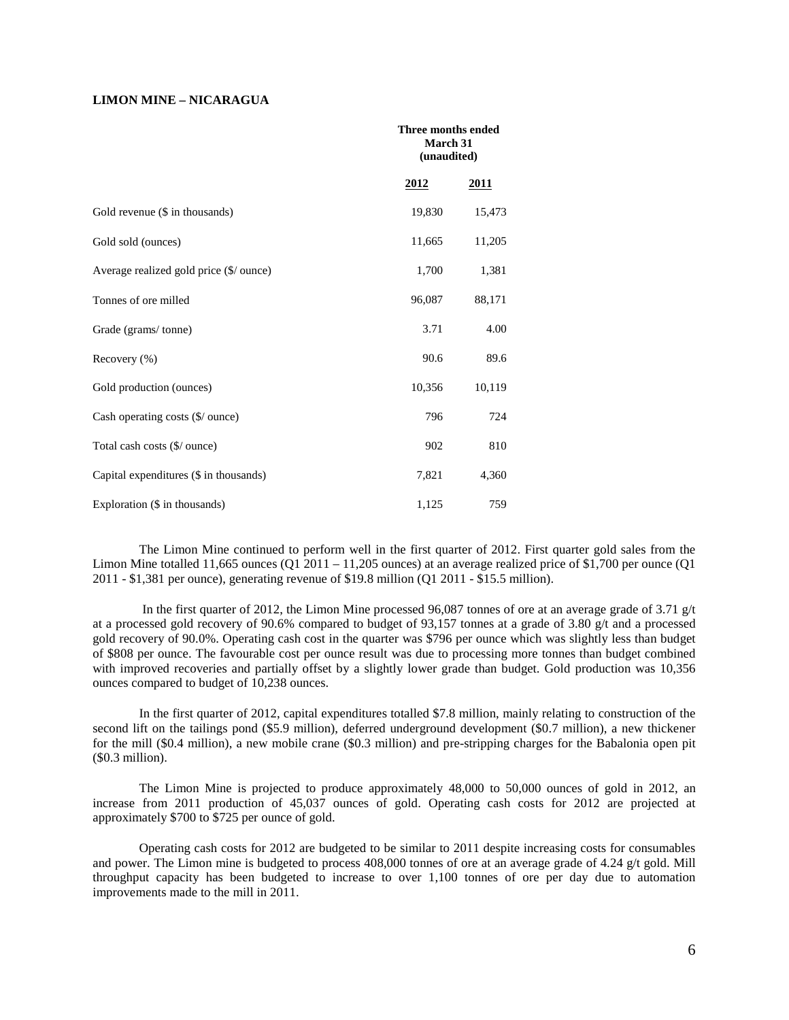# **LIMON MINE – NICARAGUA**

|                                         | Three months ended<br><b>March 31</b><br>(unaudited)<br>2012<br>19,830<br>11,665<br>1,700<br>96,087<br>3.71<br>90.6<br>10,356<br>796<br>902<br>7,821 | 2011   |
|-----------------------------------------|------------------------------------------------------------------------------------------------------------------------------------------------------|--------|
| Gold revenue (\$ in thousands)          |                                                                                                                                                      | 15,473 |
| Gold sold (ounces)                      |                                                                                                                                                      | 11,205 |
| Average realized gold price (\$/ ounce) |                                                                                                                                                      | 1,381  |
| Tonnes of ore milled                    |                                                                                                                                                      | 88,171 |
| Grade (grams/tonne)                     |                                                                                                                                                      | 4.00   |
| Recovery (%)                            |                                                                                                                                                      | 89.6   |
| Gold production (ounces)                |                                                                                                                                                      | 10,119 |
| Cash operating costs (\$/ ounce)        |                                                                                                                                                      | 724    |
| Total cash costs (\$/ ounce)            |                                                                                                                                                      | 810    |
| Capital expenditures (\$ in thousands)  |                                                                                                                                                      | 4,360  |
| Exploration (\$ in thousands)           | 1,125                                                                                                                                                | 759    |

The Limon Mine continued to perform well in the first quarter of 2012. First quarter gold sales from the Limon Mine totalled 11,665 ounces (O1 2011 – 11,205 ounces) at an average realized price of \$1,700 per ounce (O1 2011 - \$1,381 per ounce), generating revenue of \$19.8 million (Q1 2011 - \$15.5 million).

In the first quarter of 2012, the Limon Mine processed 96,087 tonnes of ore at an average grade of 3.71  $g/t$ at a processed gold recovery of 90.6% compared to budget of 93,157 tonnes at a grade of 3.80 g/t and a processed gold recovery of 90.0%. Operating cash cost in the quarter was \$796 per ounce which was slightly less than budget of \$808 per ounce. The favourable cost per ounce result was due to processing more tonnes than budget combined with improved recoveries and partially offset by a slightly lower grade than budget. Gold production was 10,356 ounces compared to budget of 10,238 ounces.

In the first quarter of 2012, capital expenditures totalled \$7.8 million, mainly relating to construction of the second lift on the tailings pond (\$5.9 million), deferred underground development (\$0.7 million), a new thickener for the mill (\$0.4 million), a new mobile crane (\$0.3 million) and pre-stripping charges for the Babalonia open pit (\$0.3 million).

The Limon Mine is projected to produce approximately 48,000 to 50,000 ounces of gold in 2012, an increase from 2011 production of 45,037 ounces of gold. Operating cash costs for 2012 are projected at approximately \$700 to \$725 per ounce of gold.

Operating cash costs for 2012 are budgeted to be similar to 2011 despite increasing costs for consumables and power. The Limon mine is budgeted to process 408,000 tonnes of ore at an average grade of 4.24 g/t gold. Mill throughput capacity has been budgeted to increase to over 1,100 tonnes of ore per day due to automation improvements made to the mill in 2011.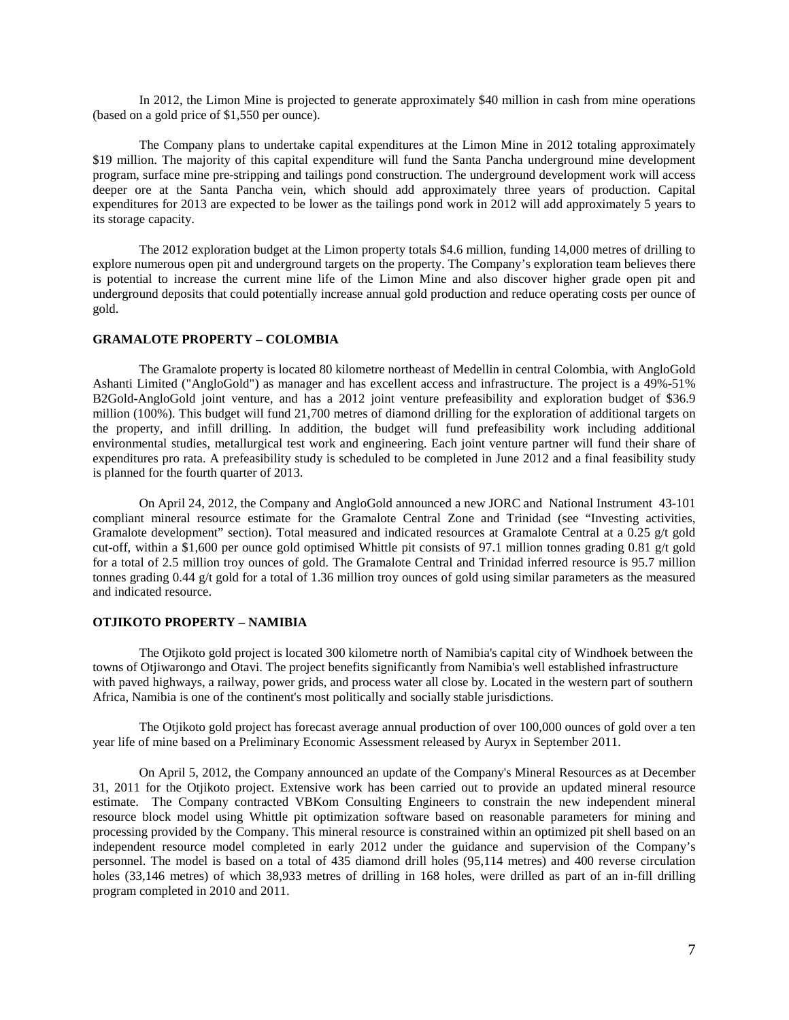In 2012, the Limon Mine is projected to generate approximately \$40 million in cash from mine operations (based on a gold price of \$1,550 per ounce).

The Company plans to undertake capital expenditures at the Limon Mine in 2012 totaling approximately \$19 million. The majority of this capital expenditure will fund the Santa Pancha underground mine development program, surface mine pre-stripping and tailings pond construction. The underground development work will access deeper ore at the Santa Pancha vein, which should add approximately three years of production. Capital expenditures for 2013 are expected to be lower as the tailings pond work in 2012 will add approximately 5 years to its storage capacity.

The 2012 exploration budget at the Limon property totals \$4.6 million, funding 14,000 metres of drilling to explore numerous open pit and underground targets on the property. The Company's exploration team believes there is potential to increase the current mine life of the Limon Mine and also discover higher grade open pit and underground deposits that could potentially increase annual gold production and reduce operating costs per ounce of gold.

# **GRAMALOTE PROPERTY – COLOMBIA**

The Gramalote property is located 80 kilometre northeast of Medellin in central Colombia, with AngloGold Ashanti Limited ("AngloGold") as manager and has excellent access and infrastructure. The project is a 49%-51% B2Gold-AngloGold joint venture, and has a 2012 joint venture prefeasibility and exploration budget of \$36.9 million (100%). This budget will fund 21,700 metres of diamond drilling for the exploration of additional targets on the property, and infill drilling. In addition, the budget will fund prefeasibility work including additional environmental studies, metallurgical test work and engineering. Each joint venture partner will fund their share of expenditures pro rata. A prefeasibility study is scheduled to be completed in June 2012 and a final feasibility study is planned for the fourth quarter of 2013.

On April 24, 2012, the Company and AngloGold announced a new JORC and National Instrument 43-101 compliant mineral resource estimate for the Gramalote Central Zone and Trinidad (see "Investing activities, Gramalote development" section). Total measured and indicated resources at Gramalote Central at a 0.25 g/t gold cut-off, within a \$1,600 per ounce gold optimised Whittle pit consists of 97.1 million tonnes grading 0.81 g/t gold for a total of 2.5 million troy ounces of gold. The Gramalote Central and Trinidad inferred resource is 95.7 million tonnes grading 0.44 g/t gold for a total of 1.36 million troy ounces of gold using similar parameters as the measured and indicated resource.

### **OTJIKOTO PROPERTY – NAMIBIA**

The Otjikoto gold project is located 300 kilometre north of Namibia's capital city of Windhoek between the towns of Otjiwarongo and Otavi. The project benefits significantly from Namibia's well established infrastructure with paved highways, a railway, power grids, and process water all close by. Located in the western part of southern Africa, Namibia is one of the continent's most politically and socially stable jurisdictions.

The Otjikoto gold project has forecast average annual production of over 100,000 ounces of gold over a ten year life of mine based on a Preliminary Economic Assessment released by Auryx in September 2011.

On April 5, 2012, the Company announced an update of the Company's Mineral Resources as at December 31, 2011 for the Otjikoto project. Extensive work has been carried out to provide an updated mineral resource estimate. The Company contracted VBKom Consulting Engineers to constrain the new independent mineral resource block model using Whittle pit optimization software based on reasonable parameters for mining and processing provided by the Company. This mineral resource is constrained within an optimized pit shell based on an independent resource model completed in early 2012 under the guidance and supervision of the Company's personnel. The model is based on a total of 435 diamond drill holes (95,114 metres) and 400 reverse circulation holes (33,146 metres) of which 38,933 metres of drilling in 168 holes, were drilled as part of an in-fill drilling program completed in 2010 and 2011.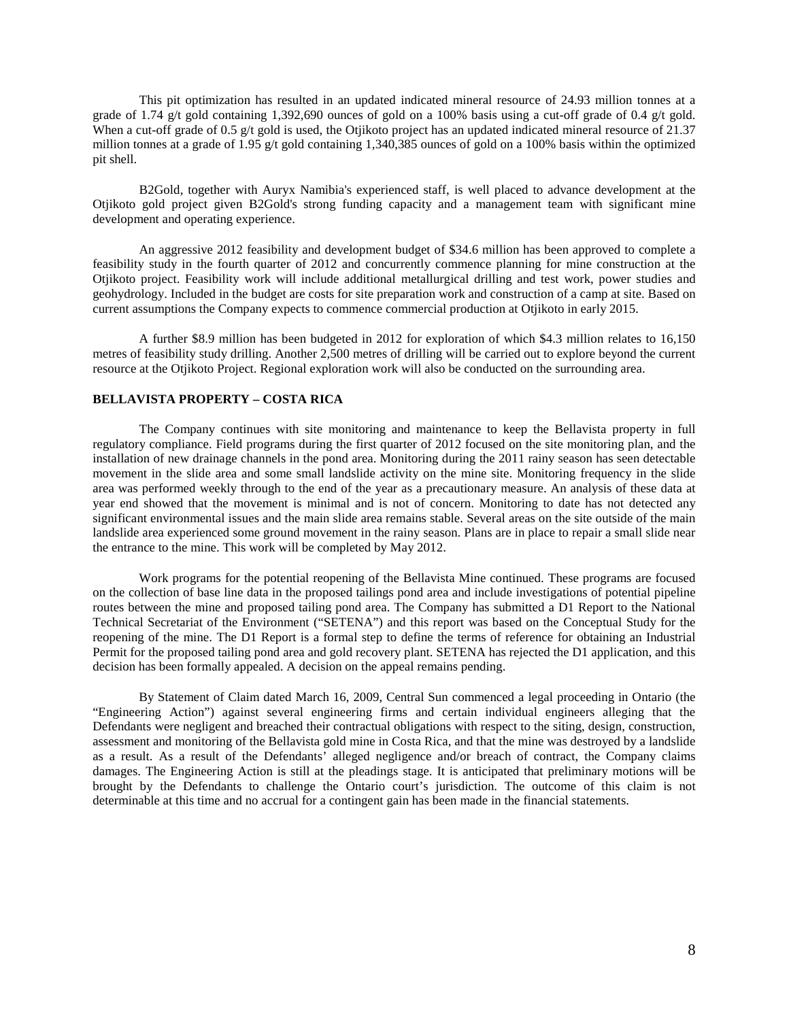This pit optimization has resulted in an updated indicated mineral resource of 24.93 million tonnes at a grade of 1.74 g/t gold containing 1,392,690 ounces of gold on a 100% basis using a cut-off grade of 0.4 g/t gold. When a cut-off grade of 0.5 g/t gold is used, the Otjikoto project has an updated indicated mineral resource of 21.37 million tonnes at a grade of 1.95 g/t gold containing 1,340,385 ounces of gold on a 100% basis within the optimized pit shell.

B2Gold, together with Auryx Namibia's experienced staff, is well placed to advance development at the Otjikoto gold project given B2Gold's strong funding capacity and a management team with significant mine development and operating experience.

An aggressive 2012 feasibility and development budget of \$34.6 million has been approved to complete a feasibility study in the fourth quarter of 2012 and concurrently commence planning for mine construction at the Otjikoto project. Feasibility work will include additional metallurgical drilling and test work, power studies and geohydrology. Included in the budget are costs for site preparation work and construction of a camp at site. Based on current assumptions the Company expects to commence commercial production at Otjikoto in early 2015.

A further \$8.9 million has been budgeted in 2012 for exploration of which \$4.3 million relates to 16,150 metres of feasibility study drilling. Another 2,500 metres of drilling will be carried out to explore beyond the current resource at the Otjikoto Project. Regional exploration work will also be conducted on the surrounding area.

# **BELLAVISTA PROPERTY – COSTA RICA**

The Company continues with site monitoring and maintenance to keep the Bellavista property in full regulatory compliance. Field programs during the first quarter of 2012 focused on the site monitoring plan, and the installation of new drainage channels in the pond area. Monitoring during the 2011 rainy season has seen detectable movement in the slide area and some small landslide activity on the mine site. Monitoring frequency in the slide area was performed weekly through to the end of the year as a precautionary measure. An analysis of these data at year end showed that the movement is minimal and is not of concern. Monitoring to date has not detected any significant environmental issues and the main slide area remains stable. Several areas on the site outside of the main landslide area experienced some ground movement in the rainy season. Plans are in place to repair a small slide near the entrance to the mine. This work will be completed by May 2012.

Work programs for the potential reopening of the Bellavista Mine continued. These programs are focused on the collection of base line data in the proposed tailings pond area and include investigations of potential pipeline routes between the mine and proposed tailing pond area. The Company has submitted a D1 Report to the National Technical Secretariat of the Environment ("SETENA") and this report was based on the Conceptual Study for the reopening of the mine. The D1 Report is a formal step to define the terms of reference for obtaining an Industrial Permit for the proposed tailing pond area and gold recovery plant. SETENA has rejected the D1 application, and this decision has been formally appealed. A decision on the appeal remains pending.

By Statement of Claim dated March 16, 2009, Central Sun commenced a legal proceeding in Ontario (the "Engineering Action") against several engineering firms and certain individual engineers alleging that the Defendants were negligent and breached their contractual obligations with respect to the siting, design, construction, assessment and monitoring of the Bellavista gold mine in Costa Rica, and that the mine was destroyed by a landslide as a result. As a result of the Defendants' alleged negligence and/or breach of contract, the Company claims damages. The Engineering Action is still at the pleadings stage. It is anticipated that preliminary motions will be brought by the Defendants to challenge the Ontario court's jurisdiction. The outcome of this claim is not determinable at this time and no accrual for a contingent gain has been made in the financial statements.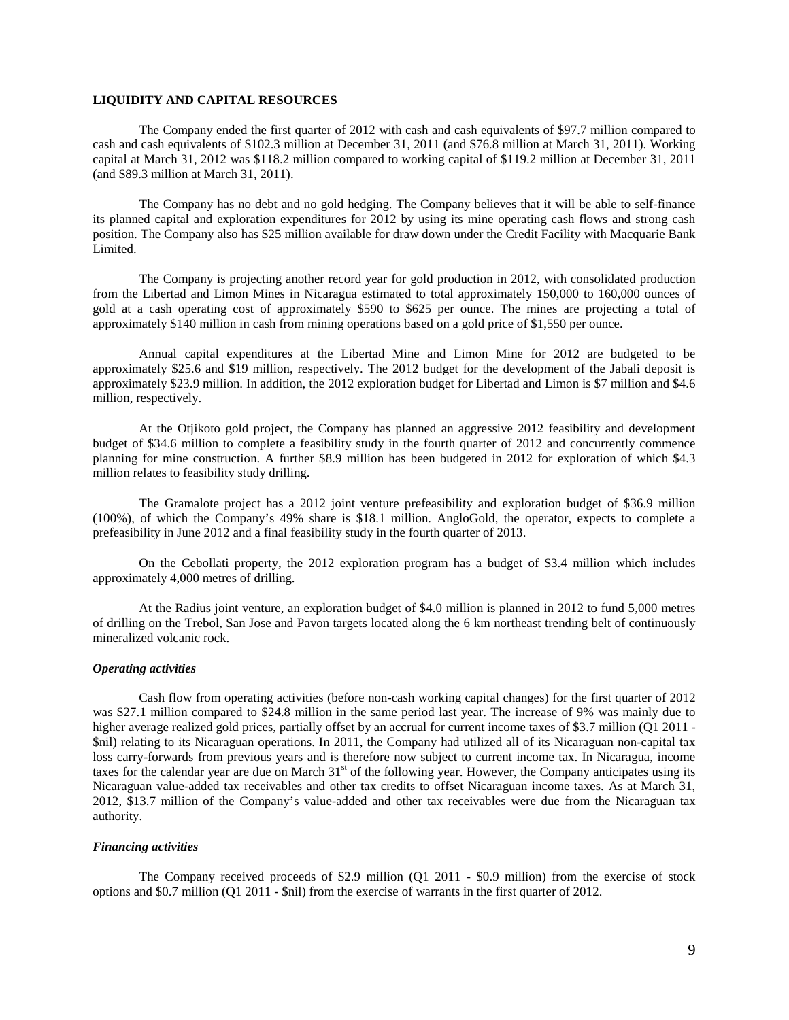# **LIQUIDITY AND CAPITAL RESOURCES**

The Company ended the first quarter of 2012 with cash and cash equivalents of \$97.7 million compared to cash and cash equivalents of \$102.3 million at December 31, 2011 (and \$76.8 million at March 31, 2011). Working capital at March 31, 2012 was \$118.2 million compared to working capital of \$119.2 million at December 31, 2011 (and \$89.3 million at March 31, 2011).

The Company has no debt and no gold hedging. The Company believes that it will be able to self-finance its planned capital and exploration expenditures for 2012 by using its mine operating cash flows and strong cash position. The Company also has \$25 million available for draw down under the Credit Facility with Macquarie Bank Limited.

The Company is projecting another record year for gold production in 2012, with consolidated production from the Libertad and Limon Mines in Nicaragua estimated to total approximately 150,000 to 160,000 ounces of gold at a cash operating cost of approximately \$590 to \$625 per ounce. The mines are projecting a total of approximately \$140 million in cash from mining operations based on a gold price of \$1,550 per ounce.

Annual capital expenditures at the Libertad Mine and Limon Mine for 2012 are budgeted to be approximately \$25.6 and \$19 million, respectively. The 2012 budget for the development of the Jabali deposit is approximately \$23.9 million. In addition, the 2012 exploration budget for Libertad and Limon is \$7 million and \$4.6 million, respectively.

At the Otjikoto gold project, the Company has planned an aggressive 2012 feasibility and development budget of \$34.6 million to complete a feasibility study in the fourth quarter of 2012 and concurrently commence planning for mine construction. A further \$8.9 million has been budgeted in 2012 for exploration of which \$4.3 million relates to feasibility study drilling.

The Gramalote project has a 2012 joint venture prefeasibility and exploration budget of \$36.9 million (100%), of which the Company's 49% share is \$18.1 million. AngloGold, the operator, expects to complete a prefeasibility in June 2012 and a final feasibility study in the fourth quarter of 2013.

On the Cebollati property, the 2012 exploration program has a budget of \$3.4 million which includes approximately 4,000 metres of drilling.

At the Radius joint venture, an exploration budget of \$4.0 million is planned in 2012 to fund 5,000 metres of drilling on the Trebol, San Jose and Pavon targets located along the 6 km northeast trending belt of continuously mineralized volcanic rock.

# *Operating activities*

Cash flow from operating activities (before non-cash working capital changes) for the first quarter of 2012 was \$27.1 million compared to \$24.8 million in the same period last year. The increase of 9% was mainly due to higher average realized gold prices, partially offset by an accrual for current income taxes of \$3.7 million (Q1 2011 - \$nil) relating to its Nicaraguan operations. In 2011, the Company had utilized all of its Nicaraguan non-capital tax loss carry-forwards from previous years and is therefore now subject to current income tax. In Nicaragua, income taxes for the calendar year are due on March  $31<sup>st</sup>$  of the following year. However, the Company anticipates using its Nicaraguan value-added tax receivables and other tax credits to offset Nicaraguan income taxes. As at March 31, 2012, \$13.7 million of the Company's value-added and other tax receivables were due from the Nicaraguan tax authority.

#### *Financing activities*

The Company received proceeds of \$2.9 million (Q1 2011 - \$0.9 million) from the exercise of stock options and \$0.7 million (Q1 2011 - \$nil) from the exercise of warrants in the first quarter of 2012.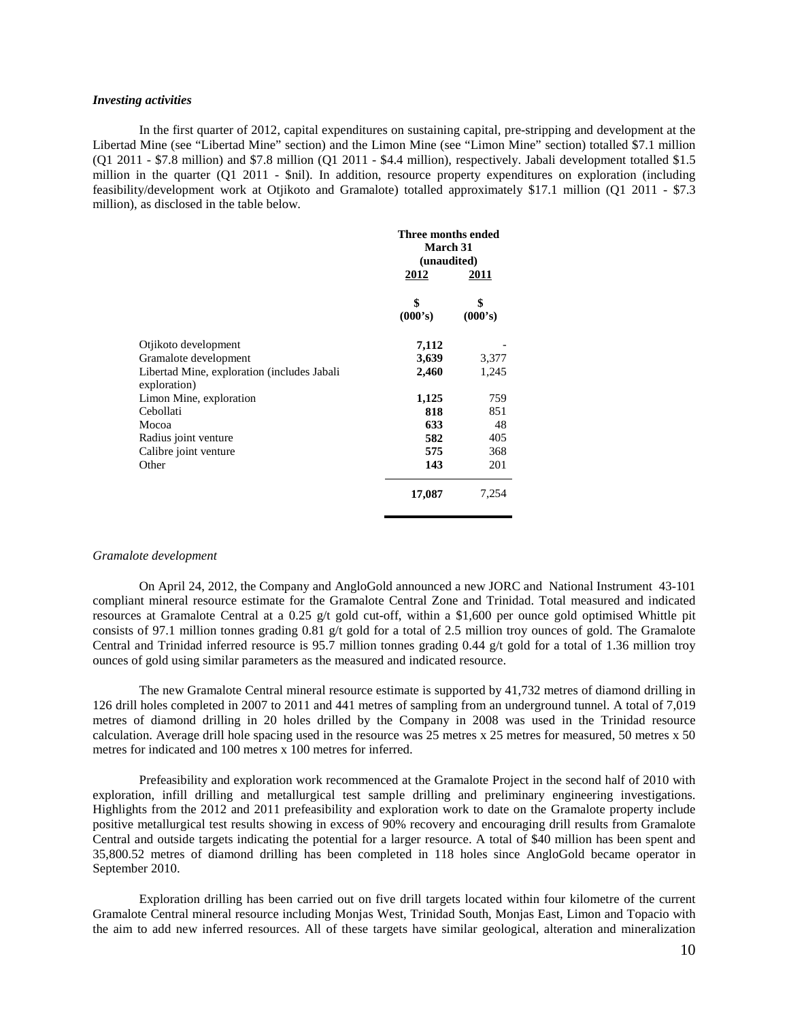# *Investing activities*

In the first quarter of 2012, capital expenditures on sustaining capital, pre-stripping and development at the Libertad Mine (see "Libertad Mine" section) and the Limon Mine (see "Limon Mine" section) totalled \$7.1 million (Q1 2011 - \$7.8 million) and \$7.8 million (Q1 2011 - \$4.4 million), respectively. Jabali development totalled \$1.5 million in the quarter (Q1 2011 - \$nil). In addition, resource property expenditures on exploration (including feasibility/development work at Otjikoto and Gramalote) totalled approximately \$17.1 million (Q1 2011 - \$7.3 million), as disclosed in the table below.

|                                                             | Three months ended<br><b>March 31</b><br>(unaudited) |               |  |
|-------------------------------------------------------------|------------------------------------------------------|---------------|--|
|                                                             | 2012<br><b>2011</b>                                  |               |  |
|                                                             | \$<br>(000's)                                        | \$<br>(000's) |  |
| Otjikoto development                                        | 7,112                                                |               |  |
| Gramalote development                                       | 3,639                                                | 3,377         |  |
| Libertad Mine, exploration (includes Jabali<br>exploration) | 2,460                                                | 1,245         |  |
| Limon Mine, exploration                                     | 1,125                                                | 759           |  |
| Cebollati                                                   | 818                                                  | 851           |  |
| Mocoa                                                       | 633                                                  | 48            |  |
| Radius joint venture                                        | 582                                                  | 405           |  |
| Calibre joint venture                                       | 575                                                  | 368           |  |
| Other                                                       | 143                                                  | 201           |  |
|                                                             | 17,087                                               | 7,254         |  |

#### *Gramalote development*

On April 24, 2012, the Company and AngloGold announced a new JORC and National Instrument 43-101 compliant mineral resource estimate for the Gramalote Central Zone and Trinidad. Total measured and indicated resources at Gramalote Central at a 0.25 g/t gold cut-off, within a \$1,600 per ounce gold optimised Whittle pit consists of 97.1 million tonnes grading 0.81 g/t gold for a total of 2.5 million troy ounces of gold. The Gramalote Central and Trinidad inferred resource is 95.7 million tonnes grading 0.44 g/t gold for a total of 1.36 million troy ounces of gold using similar parameters as the measured and indicated resource.

The new Gramalote Central mineral resource estimate is supported by 41,732 metres of diamond drilling in 126 drill holes completed in 2007 to 2011 and 441 metres of sampling from an underground tunnel. A total of 7,019 metres of diamond drilling in 20 holes drilled by the Company in 2008 was used in the Trinidad resource calculation. Average drill hole spacing used in the resource was 25 metres x 25 metres for measured, 50 metres x 50 metres for indicated and 100 metres x 100 metres for inferred.

Prefeasibility and exploration work recommenced at the Gramalote Project in the second half of 2010 with exploration, infill drilling and metallurgical test sample drilling and preliminary engineering investigations. Highlights from the 2012 and 2011 prefeasibility and exploration work to date on the Gramalote property include positive metallurgical test results showing in excess of 90% recovery and encouraging drill results from Gramalote Central and outside targets indicating the potential for a larger resource. A total of \$40 million has been spent and 35,800.52 metres of diamond drilling has been completed in 118 holes since AngloGold became operator in September 2010.

Exploration drilling has been carried out on five drill targets located within four kilometre of the current Gramalote Central mineral resource including Monjas West, Trinidad South, Monjas East, Limon and Topacio with the aim to add new inferred resources. All of these targets have similar geological, alteration and mineralization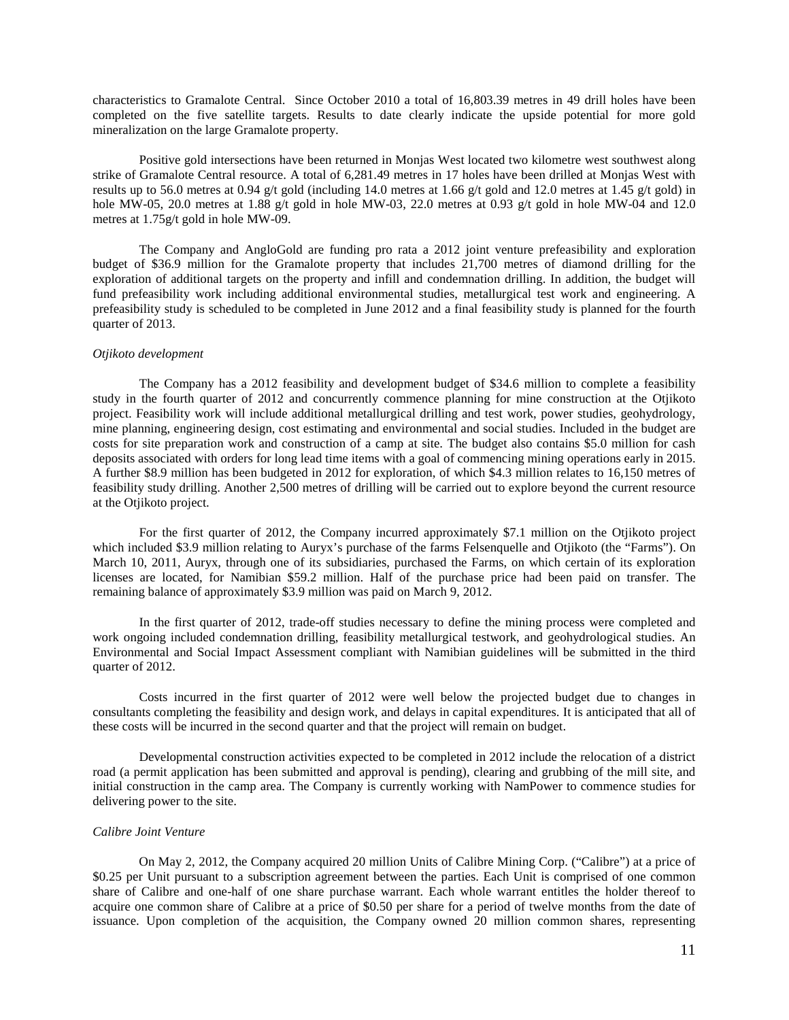characteristics to Gramalote Central. Since October 2010 a total of 16,803.39 metres in 49 drill holes have been completed on the five satellite targets. Results to date clearly indicate the upside potential for more gold mineralization on the large Gramalote property.

Positive gold intersections have been returned in Monjas West located two kilometre west southwest along strike of Gramalote Central resource. A total of 6,281.49 metres in 17 holes have been drilled at Monjas West with results up to 56.0 metres at 0.94 g/t gold (including 14.0 metres at 1.66 g/t gold and 12.0 metres at 1.45 g/t gold) in hole MW-05, 20.0 metres at 1.88 g/t gold in hole MW-03, 22.0 metres at 0.93 g/t gold in hole MW-04 and 12.0 metres at 1.75g/t gold in hole MW-09.

The Company and AngloGold are funding pro rata a 2012 joint venture prefeasibility and exploration budget of \$36.9 million for the Gramalote property that includes 21,700 metres of diamond drilling for the exploration of additional targets on the property and infill and condemnation drilling. In addition, the budget will fund prefeasibility work including additional environmental studies, metallurgical test work and engineering. A prefeasibility study is scheduled to be completed in June 2012 and a final feasibility study is planned for the fourth quarter of 2013.

# *Otjikoto development*

The Company has a 2012 feasibility and development budget of \$34.6 million to complete a feasibility study in the fourth quarter of 2012 and concurrently commence planning for mine construction at the Otjikoto project. Feasibility work will include additional metallurgical drilling and test work, power studies, geohydrology, mine planning, engineering design, cost estimating and environmental and social studies. Included in the budget are costs for site preparation work and construction of a camp at site. The budget also contains \$5.0 million for cash deposits associated with orders for long lead time items with a goal of commencing mining operations early in 2015. A further \$8.9 million has been budgeted in 2012 for exploration, of which \$4.3 million relates to 16,150 metres of feasibility study drilling. Another 2,500 metres of drilling will be carried out to explore beyond the current resource at the Otjikoto project.

For the first quarter of 2012, the Company incurred approximately \$7.1 million on the Otjikoto project which included \$3.9 million relating to Auryx's purchase of the farms Felsenquelle and Otjikoto (the "Farms"). On March 10, 2011, Auryx, through one of its subsidiaries, purchased the Farms, on which certain of its exploration licenses are located, for Namibian \$59.2 million. Half of the purchase price had been paid on transfer. The remaining balance of approximately \$3.9 million was paid on March 9, 2012.

In the first quarter of 2012, trade-off studies necessary to define the mining process were completed and work ongoing included condemnation drilling, feasibility metallurgical testwork, and geohydrological studies. An Environmental and Social Impact Assessment compliant with Namibian guidelines will be submitted in the third quarter of 2012.

Costs incurred in the first quarter of 2012 were well below the projected budget due to changes in consultants completing the feasibility and design work, and delays in capital expenditures. It is anticipated that all of these costs will be incurred in the second quarter and that the project will remain on budget.

Developmental construction activities expected to be completed in 2012 include the relocation of a district road (a permit application has been submitted and approval is pending), clearing and grubbing of the mill site, and initial construction in the camp area. The Company is currently working with NamPower to commence studies for delivering power to the site.

#### *Calibre Joint Venture*

On May 2, 2012, the Company acquired 20 million Units of Calibre Mining Corp. ("Calibre") at a price of \$0.25 per Unit pursuant to a subscription agreement between the parties. Each Unit is comprised of one common share of Calibre and one-half of one share purchase warrant. Each whole warrant entitles the holder thereof to acquire one common share of Calibre at a price of \$0.50 per share for a period of twelve months from the date of issuance. Upon completion of the acquisition, the Company owned 20 million common shares, representing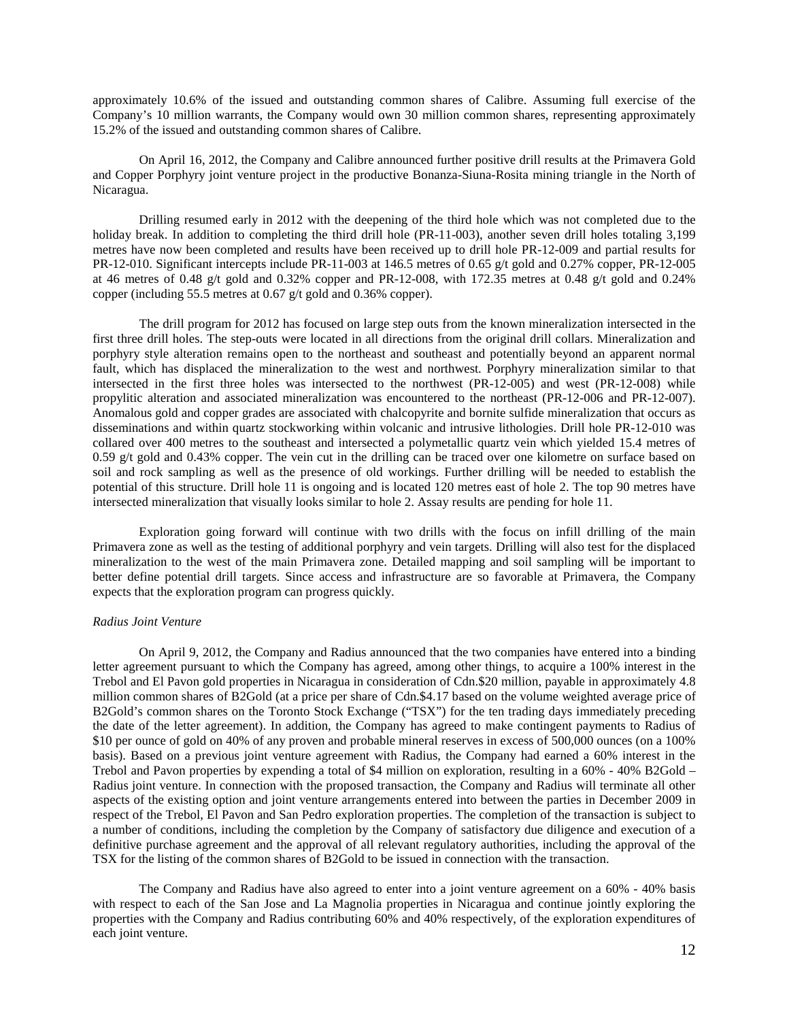approximately 10.6% of the issued and outstanding common shares of Calibre. Assuming full exercise of the Company's 10 million warrants, the Company would own 30 million common shares, representing approximately 15.2% of the issued and outstanding common shares of Calibre.

On April 16, 2012, the Company and Calibre announced further positive drill results at the Primavera Gold and Copper Porphyry joint venture project in the productive Bonanza-Siuna-Rosita mining triangle in the North of Nicaragua.

Drilling resumed early in 2012 with the deepening of the third hole which was not completed due to the holiday break. In addition to completing the third drill hole (PR-11-003), another seven drill holes totaling 3,199 metres have now been completed and results have been received up to drill hole PR-12-009 and partial results for PR-12-010. Significant intercepts include PR-11-003 at 146.5 metres of 0.65 g/t gold and 0.27% copper, PR-12-005 at 46 metres of 0.48 g/t gold and 0.32% copper and PR-12-008, with 172.35 metres at 0.48 g/t gold and 0.24% copper (including 55.5 metres at 0.67 g/t gold and 0.36% copper).

The drill program for 2012 has focused on large step outs from the known mineralization intersected in the first three drill holes. The step-outs were located in all directions from the original drill collars. Mineralization and porphyry style alteration remains open to the northeast and southeast and potentially beyond an apparent normal fault, which has displaced the mineralization to the west and northwest. Porphyry mineralization similar to that intersected in the first three holes was intersected to the northwest (PR-12-005) and west (PR-12-008) while propylitic alteration and associated mineralization was encountered to the northeast (PR-12-006 and PR-12-007). Anomalous gold and copper grades are associated with chalcopyrite and bornite sulfide mineralization that occurs as disseminations and within quartz stockworking within volcanic and intrusive lithologies. Drill hole PR-12-010 was collared over 400 metres to the southeast and intersected a polymetallic quartz vein which yielded 15.4 metres of 0.59 g/t gold and 0.43% copper. The vein cut in the drilling can be traced over one kilometre on surface based on soil and rock sampling as well as the presence of old workings. Further drilling will be needed to establish the potential of this structure. Drill hole 11 is ongoing and is located 120 metres east of hole 2. The top 90 metres have intersected mineralization that visually looks similar to hole 2. Assay results are pending for hole 11.

Exploration going forward will continue with two drills with the focus on infill drilling of the main Primavera zone as well as the testing of additional porphyry and vein targets. Drilling will also test for the displaced mineralization to the west of the main Primavera zone. Detailed mapping and soil sampling will be important to better define potential drill targets. Since access and infrastructure are so favorable at Primavera, the Company expects that the exploration program can progress quickly.

### *Radius Joint Venture*

On April 9, 2012, the Company and Radius announced that the two companies have entered into a binding letter agreement pursuant to which the Company has agreed, among other things, to acquire a 100% interest in the Trebol and El Pavon gold properties in Nicaragua in consideration of Cdn.\$20 million, payable in approximately 4.8 million common shares of B2Gold (at a price per share of Cdn.\$4.17 based on the volume weighted average price of B2Gold's common shares on the Toronto Stock Exchange ("TSX") for the ten trading days immediately preceding the date of the letter agreement). In addition, the Company has agreed to make contingent payments to Radius of \$10 per ounce of gold on 40% of any proven and probable mineral reserves in excess of 500,000 ounces (on a 100% basis). Based on a previous joint venture agreement with Radius, the Company had earned a 60% interest in the Trebol and Pavon properties by expending a total of \$4 million on exploration, resulting in a 60% - 40% B2Gold – Radius joint venture. In connection with the proposed transaction, the Company and Radius will terminate all other aspects of the existing option and joint venture arrangements entered into between the parties in December 2009 in respect of the Trebol, El Pavon and San Pedro exploration properties. The completion of the transaction is subject to a number of conditions, including the completion by the Company of satisfactory due diligence and execution of a definitive purchase agreement and the approval of all relevant regulatory authorities, including the approval of the TSX for the listing of the common shares of B2Gold to be issued in connection with the transaction.

The Company and Radius have also agreed to enter into a joint venture agreement on a 60% - 40% basis with respect to each of the San Jose and La Magnolia properties in Nicaragua and continue jointly exploring the properties with the Company and Radius contributing 60% and 40% respectively, of the exploration expenditures of each joint venture.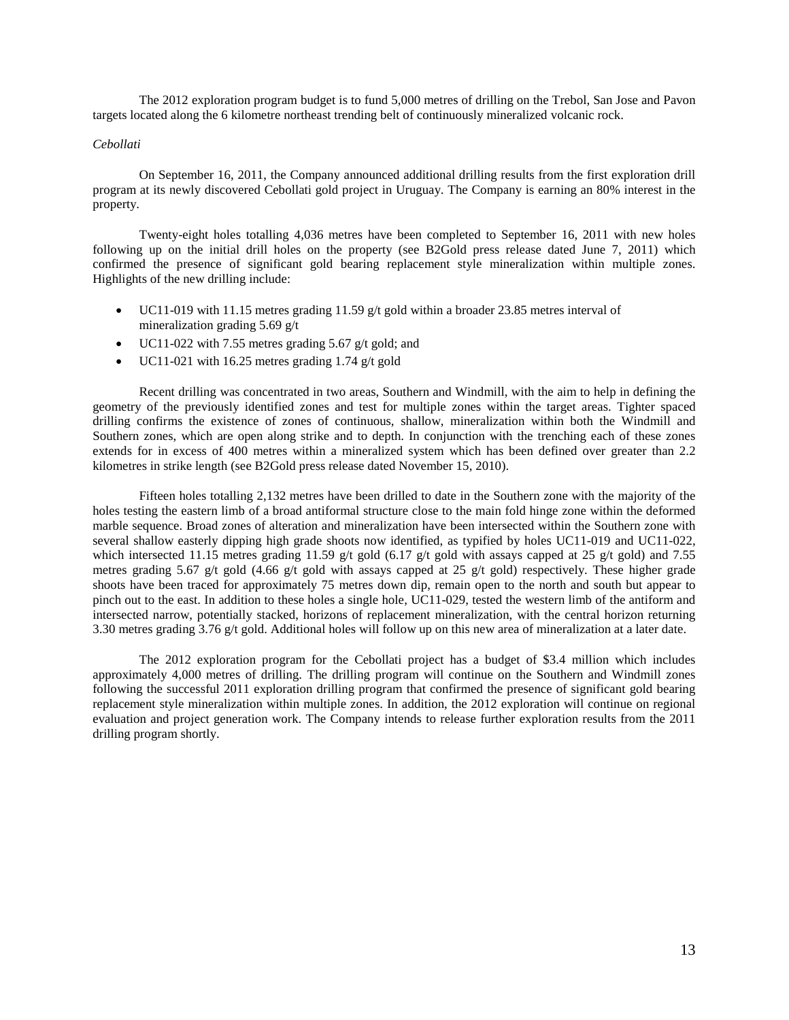The 2012 exploration program budget is to fund 5,000 metres of drilling on the Trebol, San Jose and Pavon targets located along the 6 kilometre northeast trending belt of continuously mineralized volcanic rock.

### *Cebollati*

On September 16, 2011, the Company announced additional drilling results from the first exploration drill program at its newly discovered Cebollati gold project in Uruguay. The Company is earning an 80% interest in the property.

Twenty-eight holes totalling 4,036 metres have been completed to September 16, 2011 with new holes following up on the initial drill holes on the property (see B2Gold press release dated June 7, 2011) which confirmed the presence of significant gold bearing replacement style mineralization within multiple zones. Highlights of the new drilling include:

- UC11-019 with 11.15 metres grading 11.59 g/t gold within a broader 23.85 metres interval of mineralization grading 5.69 g/t
- UC11-022 with 7.55 metres grading 5.67 g/t gold; and
- UC11-021 with 16.25 metres grading 1.74 g/t gold

Recent drilling was concentrated in two areas, Southern and Windmill, with the aim to help in defining the geometry of the previously identified zones and test for multiple zones within the target areas. Tighter spaced drilling confirms the existence of zones of continuous, shallow, mineralization within both the Windmill and Southern zones, which are open along strike and to depth. In conjunction with the trenching each of these zones extends for in excess of 400 metres within a mineralized system which has been defined over greater than 2.2 kilometres in strike length (see B2Gold press release dated November 15, 2010).

Fifteen holes totalling 2,132 metres have been drilled to date in the Southern zone with the majority of the holes testing the eastern limb of a broad antiformal structure close to the main fold hinge zone within the deformed marble sequence. Broad zones of alteration and mineralization have been intersected within the Southern zone with several shallow easterly dipping high grade shoots now identified, as typified by holes UC11-019 and UC11-022, which intersected 11.15 metres grading 11.59 g/t gold (6.17 g/t gold with assays capped at 25 g/t gold) and 7.55 metres grading 5.67 g/t gold (4.66 g/t gold with assays capped at 25 g/t gold) respectively. These higher grade shoots have been traced for approximately 75 metres down dip, remain open to the north and south but appear to pinch out to the east. In addition to these holes a single hole, UC11-029, tested the western limb of the antiform and intersected narrow, potentially stacked, horizons of replacement mineralization, with the central horizon returning 3.30 metres grading 3.76 g/t gold. Additional holes will follow up on this new area of mineralization at a later date.

The 2012 exploration program for the Cebollati project has a budget of \$3.4 million which includes approximately 4,000 metres of drilling. The drilling program will continue on the Southern and Windmill zones following the successful 2011 exploration drilling program that confirmed the presence of significant gold bearing replacement style mineralization within multiple zones. In addition, the 2012 exploration will continue on regional evaluation and project generation work. The Company intends to release further exploration results from the 2011 drilling program shortly.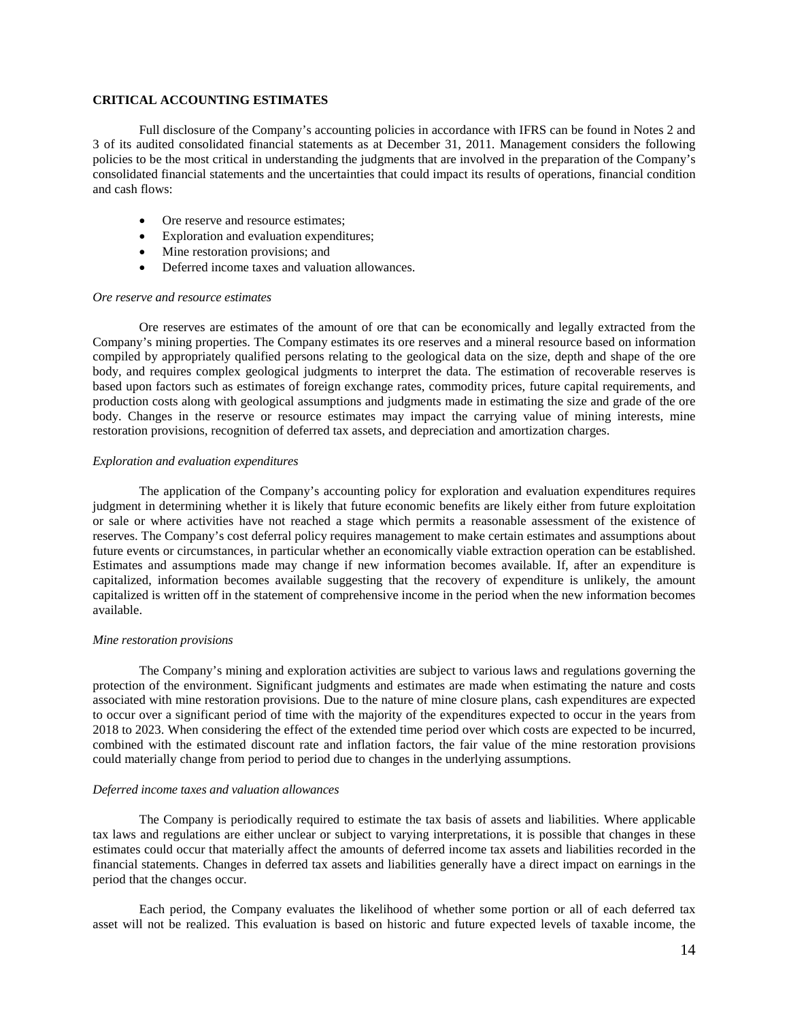# **CRITICAL ACCOUNTING ESTIMATES**

Full disclosure of the Company's accounting policies in accordance with IFRS can be found in Notes 2 and 3 of its audited consolidated financial statements as at December 31, 2011. Management considers the following policies to be the most critical in understanding the judgments that are involved in the preparation of the Company's consolidated financial statements and the uncertainties that could impact its results of operations, financial condition and cash flows:

- Ore reserve and resource estimates;
- Exploration and evaluation expenditures;
- Mine restoration provisions; and
- Deferred income taxes and valuation allowances.

# *Ore reserve and resource estimates*

Ore reserves are estimates of the amount of ore that can be economically and legally extracted from the Company's mining properties. The Company estimates its ore reserves and a mineral resource based on information compiled by appropriately qualified persons relating to the geological data on the size, depth and shape of the ore body, and requires complex geological judgments to interpret the data. The estimation of recoverable reserves is based upon factors such as estimates of foreign exchange rates, commodity prices, future capital requirements, and production costs along with geological assumptions and judgments made in estimating the size and grade of the ore body. Changes in the reserve or resource estimates may impact the carrying value of mining interests, mine restoration provisions, recognition of deferred tax assets, and depreciation and amortization charges.

#### *Exploration and evaluation expenditures*

The application of the Company's accounting policy for exploration and evaluation expenditures requires judgment in determining whether it is likely that future economic benefits are likely either from future exploitation or sale or where activities have not reached a stage which permits a reasonable assessment of the existence of reserves. The Company's cost deferral policy requires management to make certain estimates and assumptions about future events or circumstances, in particular whether an economically viable extraction operation can be established. Estimates and assumptions made may change if new information becomes available. If, after an expenditure is capitalized, information becomes available suggesting that the recovery of expenditure is unlikely, the amount capitalized is written off in the statement of comprehensive income in the period when the new information becomes available.

### *Mine restoration provisions*

The Company's mining and exploration activities are subject to various laws and regulations governing the protection of the environment. Significant judgments and estimates are made when estimating the nature and costs associated with mine restoration provisions. Due to the nature of mine closure plans, cash expenditures are expected to occur over a significant period of time with the majority of the expenditures expected to occur in the years from 2018 to 2023. When considering the effect of the extended time period over which costs are expected to be incurred, combined with the estimated discount rate and inflation factors, the fair value of the mine restoration provisions could materially change from period to period due to changes in the underlying assumptions.

### *Deferred income taxes and valuation allowances*

The Company is periodically required to estimate the tax basis of assets and liabilities. Where applicable tax laws and regulations are either unclear or subject to varying interpretations, it is possible that changes in these estimates could occur that materially affect the amounts of deferred income tax assets and liabilities recorded in the financial statements. Changes in deferred tax assets and liabilities generally have a direct impact on earnings in the period that the changes occur.

Each period, the Company evaluates the likelihood of whether some portion or all of each deferred tax asset will not be realized. This evaluation is based on historic and future expected levels of taxable income, the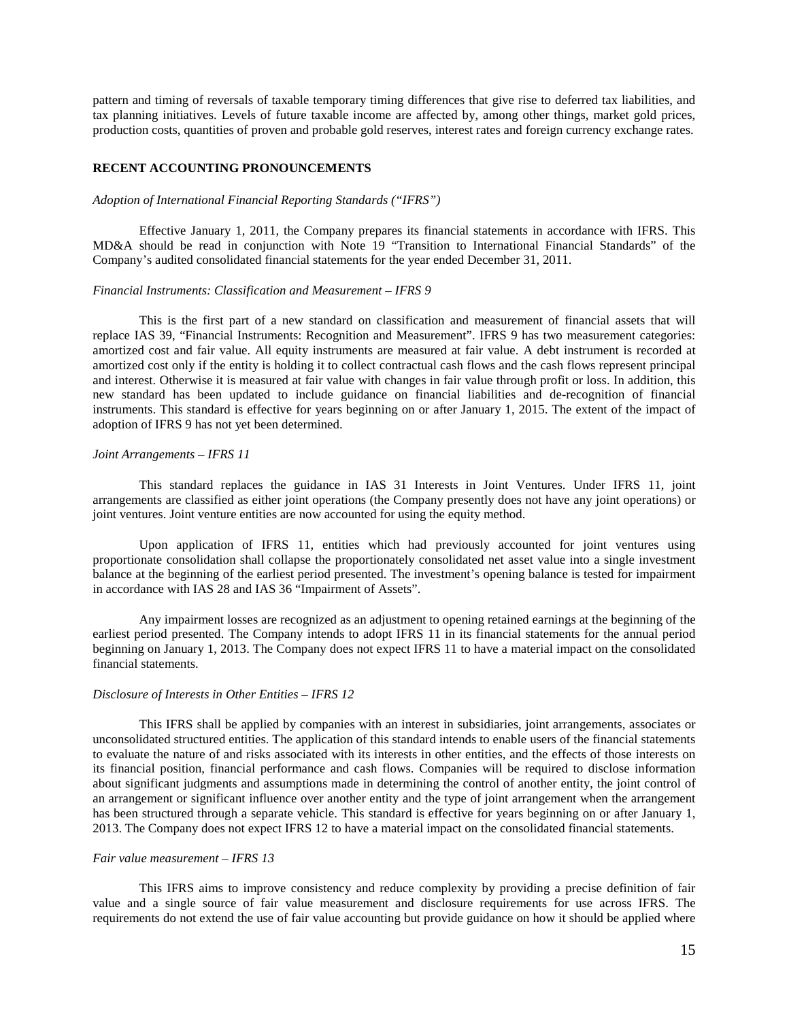pattern and timing of reversals of taxable temporary timing differences that give rise to deferred tax liabilities, and tax planning initiatives. Levels of future taxable income are affected by, among other things, market gold prices, production costs, quantities of proven and probable gold reserves, interest rates and foreign currency exchange rates.

# **RECENT ACCOUNTING PRONOUNCEMENTS**

#### *Adoption of International Financial Reporting Standards ("IFRS")*

Effective January 1, 2011, the Company prepares its financial statements in accordance with IFRS. This MD&A should be read in conjunction with Note 19 "Transition to International Financial Standards" of the Company's audited consolidated financial statements for the year ended December 31, 2011.

### *Financial Instruments: Classification and Measurement – IFRS 9*

This is the first part of a new standard on classification and measurement of financial assets that will replace IAS 39, "Financial Instruments: Recognition and Measurement". IFRS 9 has two measurement categories: amortized cost and fair value. All equity instruments are measured at fair value. A debt instrument is recorded at amortized cost only if the entity is holding it to collect contractual cash flows and the cash flows represent principal and interest. Otherwise it is measured at fair value with changes in fair value through profit or loss. In addition, this new standard has been updated to include guidance on financial liabilities and de-recognition of financial instruments. This standard is effective for years beginning on or after January 1, 2015. The extent of the impact of adoption of IFRS 9 has not yet been determined.

#### *Joint Arrangements – IFRS 11*

This standard replaces the guidance in IAS 31 Interests in Joint Ventures. Under IFRS 11, joint arrangements are classified as either joint operations (the Company presently does not have any joint operations) or joint ventures. Joint venture entities are now accounted for using the equity method.

Upon application of IFRS 11, entities which had previously accounted for joint ventures using proportionate consolidation shall collapse the proportionately consolidated net asset value into a single investment balance at the beginning of the earliest period presented. The investment's opening balance is tested for impairment in accordance with IAS 28 and IAS 36 "Impairment of Assets".

Any impairment losses are recognized as an adjustment to opening retained earnings at the beginning of the earliest period presented. The Company intends to adopt IFRS 11 in its financial statements for the annual period beginning on January 1, 2013. The Company does not expect IFRS 11 to have a material impact on the consolidated financial statements.

# *Disclosure of Interests in Other Entities – IFRS 12*

This IFRS shall be applied by companies with an interest in subsidiaries, joint arrangements, associates or unconsolidated structured entities. The application of this standard intends to enable users of the financial statements to evaluate the nature of and risks associated with its interests in other entities, and the effects of those interests on its financial position, financial performance and cash flows. Companies will be required to disclose information about significant judgments and assumptions made in determining the control of another entity, the joint control of an arrangement or significant influence over another entity and the type of joint arrangement when the arrangement has been structured through a separate vehicle. This standard is effective for years beginning on or after January 1, 2013. The Company does not expect IFRS 12 to have a material impact on the consolidated financial statements.

### *Fair value measurement – IFRS 13*

This IFRS aims to improve consistency and reduce complexity by providing a precise definition of fair value and a single source of fair value measurement and disclosure requirements for use across IFRS. The requirements do not extend the use of fair value accounting but provide guidance on how it should be applied where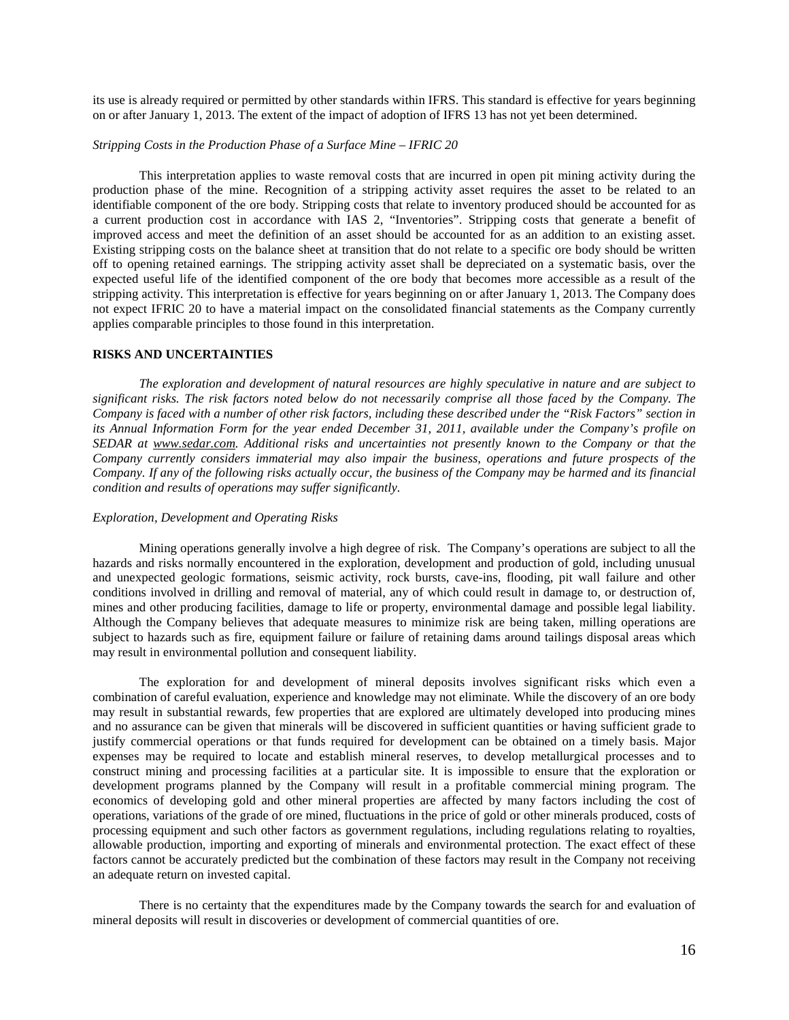its use is already required or permitted by other standards within IFRS. This standard is effective for years beginning on or after January 1, 2013. The extent of the impact of adoption of IFRS 13 has not yet been determined.

### *Stripping Costs in the Production Phase of a Surface Mine – IFRIC 20*

This interpretation applies to waste removal costs that are incurred in open pit mining activity during the production phase of the mine. Recognition of a stripping activity asset requires the asset to be related to an identifiable component of the ore body. Stripping costs that relate to inventory produced should be accounted for as a current production cost in accordance with IAS 2, "Inventories". Stripping costs that generate a benefit of improved access and meet the definition of an asset should be accounted for as an addition to an existing asset. Existing stripping costs on the balance sheet at transition that do not relate to a specific ore body should be written off to opening retained earnings. The stripping activity asset shall be depreciated on a systematic basis, over the expected useful life of the identified component of the ore body that becomes more accessible as a result of the stripping activity. This interpretation is effective for years beginning on or after January 1, 2013. The Company does not expect IFRIC 20 to have a material impact on the consolidated financial statements as the Company currently applies comparable principles to those found in this interpretation.

# **RISKS AND UNCERTAINTIES**

*The exploration and development of natural resources are highly speculative in nature and are subject to significant risks. The risk factors noted below do not necessarily comprise all those faced by the Company. The Company is faced with a number of other risk factors, including these described under the "Risk Factors" section in its Annual Information Form for the year ended December 31, 2011, available under the Company's profile on SEDAR at [www.sedar.com.](http://www.sedar.com/) Additional risks and uncertainties not presently known to the Company or that the Company currently considers immaterial may also impair the business, operations and future prospects of the Company. If any of the following risks actually occur, the business of the Company may be harmed and its financial condition and results of operations may suffer significantly.* 

# *Exploration, Development and Operating Risks*

Mining operations generally involve a high degree of risk. The Company's operations are subject to all the hazards and risks normally encountered in the exploration, development and production of gold, including unusual and unexpected geologic formations, seismic activity, rock bursts, cave-ins, flooding, pit wall failure and other conditions involved in drilling and removal of material, any of which could result in damage to, or destruction of, mines and other producing facilities, damage to life or property, environmental damage and possible legal liability. Although the Company believes that adequate measures to minimize risk are being taken, milling operations are subject to hazards such as fire, equipment failure or failure of retaining dams around tailings disposal areas which may result in environmental pollution and consequent liability.

The exploration for and development of mineral deposits involves significant risks which even a combination of careful evaluation, experience and knowledge may not eliminate. While the discovery of an ore body may result in substantial rewards, few properties that are explored are ultimately developed into producing mines and no assurance can be given that minerals will be discovered in sufficient quantities or having sufficient grade to justify commercial operations or that funds required for development can be obtained on a timely basis. Major expenses may be required to locate and establish mineral reserves, to develop metallurgical processes and to construct mining and processing facilities at a particular site. It is impossible to ensure that the exploration or development programs planned by the Company will result in a profitable commercial mining program. The economics of developing gold and other mineral properties are affected by many factors including the cost of operations, variations of the grade of ore mined, fluctuations in the price of gold or other minerals produced, costs of processing equipment and such other factors as government regulations, including regulations relating to royalties, allowable production, importing and exporting of minerals and environmental protection. The exact effect of these factors cannot be accurately predicted but the combination of these factors may result in the Company not receiving an adequate return on invested capital.

There is no certainty that the expenditures made by the Company towards the search for and evaluation of mineral deposits will result in discoveries or development of commercial quantities of ore.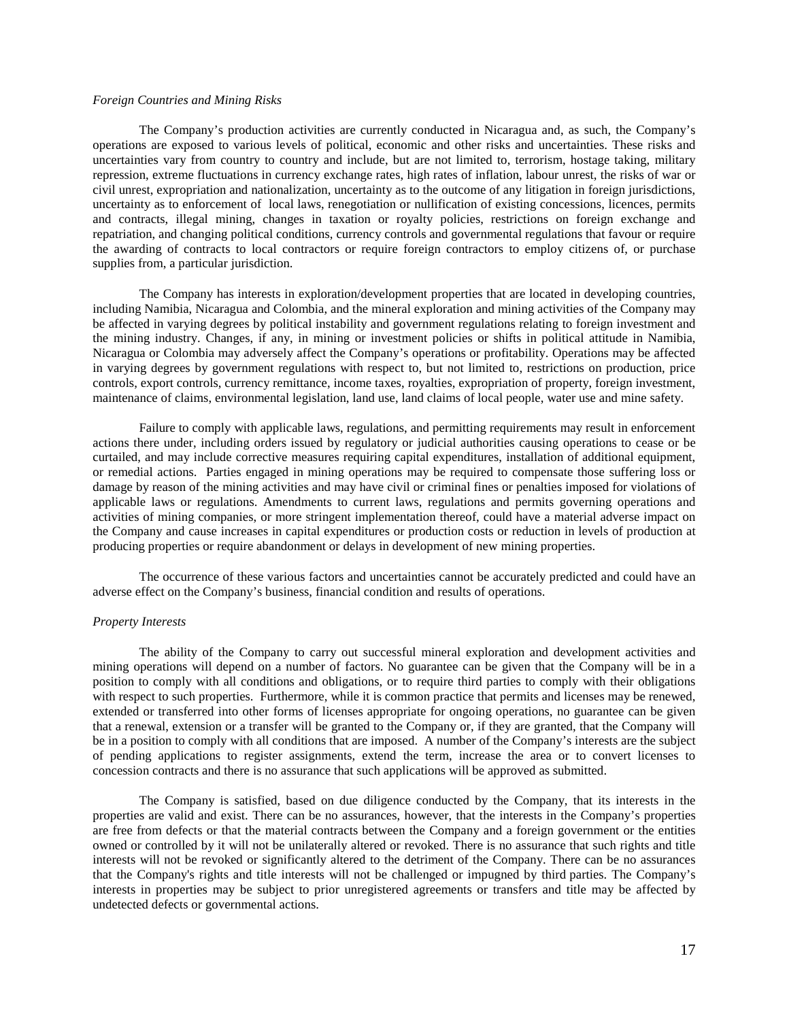### *Foreign Countries and Mining Risks*

The Company's production activities are currently conducted in Nicaragua and, as such, the Company's operations are exposed to various levels of political, economic and other risks and uncertainties. These risks and uncertainties vary from country to country and include, but are not limited to, terrorism, hostage taking, military repression, extreme fluctuations in currency exchange rates, high rates of inflation, labour unrest, the risks of war or civil unrest, expropriation and nationalization, uncertainty as to the outcome of any litigation in foreign jurisdictions, uncertainty as to enforcement of local laws, renegotiation or nullification of existing concessions, licences, permits and contracts, illegal mining, changes in taxation or royalty policies, restrictions on foreign exchange and repatriation, and changing political conditions, currency controls and governmental regulations that favour or require the awarding of contracts to local contractors or require foreign contractors to employ citizens of, or purchase supplies from, a particular jurisdiction.

The Company has interests in exploration/development properties that are located in developing countries, including Namibia, Nicaragua and Colombia, and the mineral exploration and mining activities of the Company may be affected in varying degrees by political instability and government regulations relating to foreign investment and the mining industry. Changes, if any, in mining or investment policies or shifts in political attitude in Namibia, Nicaragua or Colombia may adversely affect the Company's operations or profitability. Operations may be affected in varying degrees by government regulations with respect to, but not limited to, restrictions on production, price controls, export controls, currency remittance, income taxes, royalties, expropriation of property, foreign investment, maintenance of claims, environmental legislation, land use, land claims of local people, water use and mine safety.

Failure to comply with applicable laws, regulations, and permitting requirements may result in enforcement actions there under, including orders issued by regulatory or judicial authorities causing operations to cease or be curtailed, and may include corrective measures requiring capital expenditures, installation of additional equipment, or remedial actions. Parties engaged in mining operations may be required to compensate those suffering loss or damage by reason of the mining activities and may have civil or criminal fines or penalties imposed for violations of applicable laws or regulations. Amendments to current laws, regulations and permits governing operations and activities of mining companies, or more stringent implementation thereof, could have a material adverse impact on the Company and cause increases in capital expenditures or production costs or reduction in levels of production at producing properties or require abandonment or delays in development of new mining properties.

The occurrence of these various factors and uncertainties cannot be accurately predicted and could have an adverse effect on the Company's business, financial condition and results of operations.

### *Property Interests*

The ability of the Company to carry out successful mineral exploration and development activities and mining operations will depend on a number of factors. No guarantee can be given that the Company will be in a position to comply with all conditions and obligations, or to require third parties to comply with their obligations with respect to such properties. Furthermore, while it is common practice that permits and licenses may be renewed, extended or transferred into other forms of licenses appropriate for ongoing operations, no guarantee can be given that a renewal, extension or a transfer will be granted to the Company or, if they are granted, that the Company will be in a position to comply with all conditions that are imposed. A number of the Company's interests are the subject of pending applications to register assignments, extend the term, increase the area or to convert licenses to concession contracts and there is no assurance that such applications will be approved as submitted.

The Company is satisfied, based on due diligence conducted by the Company, that its interests in the properties are valid and exist. There can be no assurances, however, that the interests in the Company's properties are free from defects or that the material contracts between the Company and a foreign government or the entities owned or controlled by it will not be unilaterally altered or revoked. There is no assurance that such rights and title interests will not be revoked or significantly altered to the detriment of the Company. There can be no assurances that the Company's rights and title interests will not be challenged or impugned by third parties. The Company's interests in properties may be subject to prior unregistered agreements or transfers and title may be affected by undetected defects or governmental actions.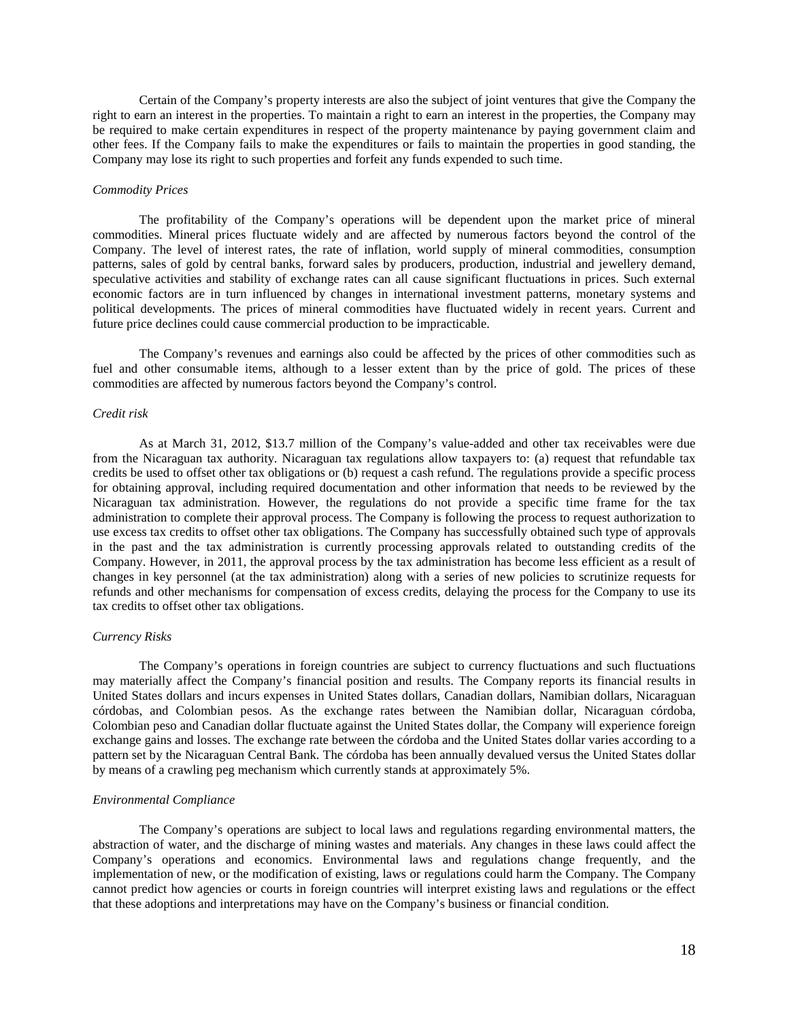Certain of the Company's property interests are also the subject of joint ventures that give the Company the right to earn an interest in the properties. To maintain a right to earn an interest in the properties, the Company may be required to make certain expenditures in respect of the property maintenance by paying government claim and other fees. If the Company fails to make the expenditures or fails to maintain the properties in good standing, the Company may lose its right to such properties and forfeit any funds expended to such time.

# *Commodity Prices*

The profitability of the Company's operations will be dependent upon the market price of mineral commodities. Mineral prices fluctuate widely and are affected by numerous factors beyond the control of the Company. The level of interest rates, the rate of inflation, world supply of mineral commodities, consumption patterns, sales of gold by central banks, forward sales by producers, production, industrial and jewellery demand, speculative activities and stability of exchange rates can all cause significant fluctuations in prices. Such external economic factors are in turn influenced by changes in international investment patterns, monetary systems and political developments. The prices of mineral commodities have fluctuated widely in recent years. Current and future price declines could cause commercial production to be impracticable.

The Company's revenues and earnings also could be affected by the prices of other commodities such as fuel and other consumable items, although to a lesser extent than by the price of gold. The prices of these commodities are affected by numerous factors beyond the Company's control.

#### *Credit risk*

As at March 31, 2012, \$13.7 million of the Company's value-added and other tax receivables were due from the Nicaraguan tax authority. Nicaraguan tax regulations allow taxpayers to: (a) request that refundable tax credits be used to offset other tax obligations or (b) request a cash refund. The regulations provide a specific process for obtaining approval, including required documentation and other information that needs to be reviewed by the Nicaraguan tax administration. However, the regulations do not provide a specific time frame for the tax administration to complete their approval process. The Company is following the process to request authorization to use excess tax credits to offset other tax obligations. The Company has successfully obtained such type of approvals in the past and the tax administration is currently processing approvals related to outstanding credits of the Company. However, in 2011, the approval process by the tax administration has become less efficient as a result of changes in key personnel (at the tax administration) along with a series of new policies to scrutinize requests for refunds and other mechanisms for compensation of excess credits, delaying the process for the Company to use its tax credits to offset other tax obligations.

# *Currency Risks*

The Company's operations in foreign countries are subject to currency fluctuations and such fluctuations may materially affect the Company's financial position and results. The Company reports its financial results in United States dollars and incurs expenses in United States dollars, Canadian dollars, Namibian dollars, Nicaraguan córdobas, and Colombian pesos. As the exchange rates between the Namibian dollar, Nicaraguan córdoba, Colombian peso and Canadian dollar fluctuate against the United States dollar, the Company will experience foreign exchange gains and losses. The exchange rate between the córdoba and the United States dollar varies according to a pattern set by the Nicaraguan Central Bank. The córdoba has been annually devalued versus the United States dollar by means of a crawling peg mechanism which currently stands at approximately 5%.

### *Environmental Compliance*

The Company's operations are subject to local laws and regulations regarding environmental matters, the abstraction of water, and the discharge of mining wastes and materials. Any changes in these laws could affect the Company's operations and economics. Environmental laws and regulations change frequently, and the implementation of new, or the modification of existing, laws or regulations could harm the Company. The Company cannot predict how agencies or courts in foreign countries will interpret existing laws and regulations or the effect that these adoptions and interpretations may have on the Company's business or financial condition.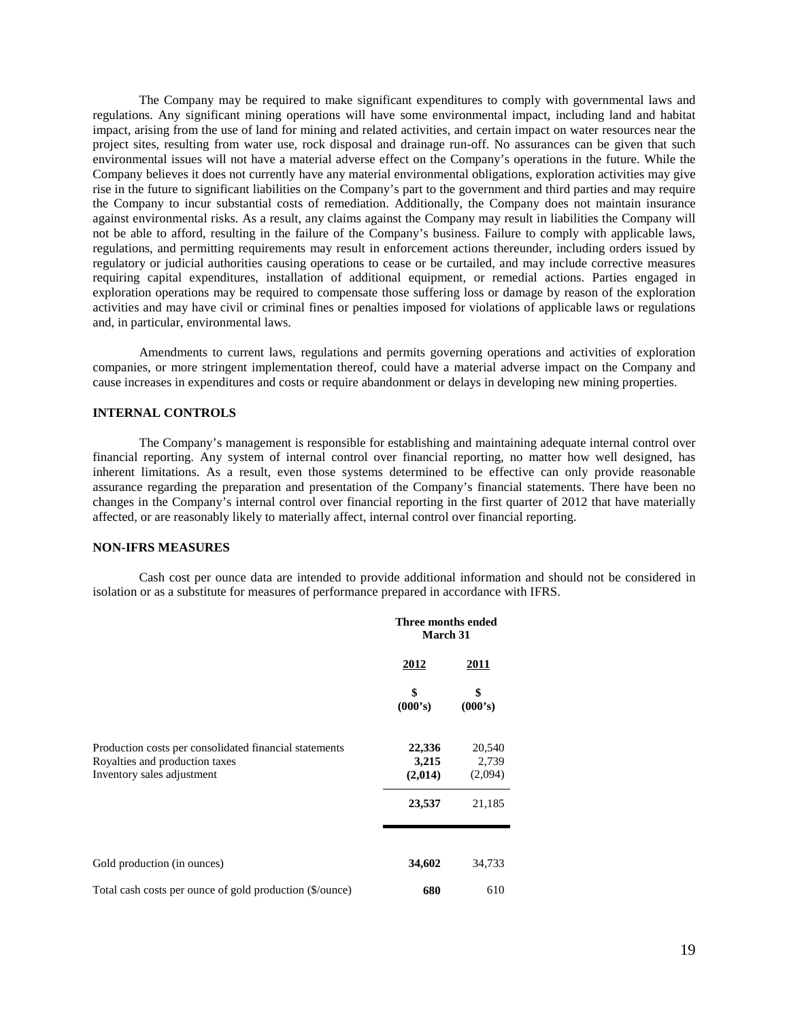The Company may be required to make significant expenditures to comply with governmental laws and regulations. Any significant mining operations will have some environmental impact, including land and habitat impact, arising from the use of land for mining and related activities, and certain impact on water resources near the project sites, resulting from water use, rock disposal and drainage run-off. No assurances can be given that such environmental issues will not have a material adverse effect on the Company's operations in the future. While the Company believes it does not currently have any material environmental obligations, exploration activities may give rise in the future to significant liabilities on the Company's part to the government and third parties and may require the Company to incur substantial costs of remediation. Additionally, the Company does not maintain insurance against environmental risks. As a result, any claims against the Company may result in liabilities the Company will not be able to afford, resulting in the failure of the Company's business. Failure to comply with applicable laws, regulations, and permitting requirements may result in enforcement actions thereunder, including orders issued by regulatory or judicial authorities causing operations to cease or be curtailed, and may include corrective measures requiring capital expenditures, installation of additional equipment, or remedial actions. Parties engaged in exploration operations may be required to compensate those suffering loss or damage by reason of the exploration activities and may have civil or criminal fines or penalties imposed for violations of applicable laws or regulations and, in particular, environmental laws.

Amendments to current laws, regulations and permits governing operations and activities of exploration companies, or more stringent implementation thereof, could have a material adverse impact on the Company and cause increases in expenditures and costs or require abandonment or delays in developing new mining properties.

# **INTERNAL CONTROLS**

The Company's management is responsible for establishing and maintaining adequate internal control over financial reporting. Any system of internal control over financial reporting, no matter how well designed, has inherent limitations. As a result, even those systems determined to be effective can only provide reasonable assurance regarding the preparation and presentation of the Company's financial statements. There have been no changes in the Company's internal control over financial reporting in the first quarter of 2012 that have materially affected, or are reasonably likely to materially affect, internal control over financial reporting.

## **NON-IFRS MEASURES**

Cash cost per ounce data are intended to provide additional information and should not be considered in isolation or as a substitute for measures of performance prepared in accordance with IFRS.

|                                                                                                                        | Three months ended<br><b>March 31</b> |                            |
|------------------------------------------------------------------------------------------------------------------------|---------------------------------------|----------------------------|
|                                                                                                                        | <u>2012</u>                           | <u>2011</u>                |
|                                                                                                                        | \$<br>(000's)                         | \$<br>(000's)              |
| Production costs per consolidated financial statements<br>Royalties and production taxes<br>Inventory sales adjustment | 22,336<br>3,215<br>(2,014)            | 20,540<br>2,739<br>(2,094) |
|                                                                                                                        | 23,537                                | 21,185                     |
| Gold production (in ounces)                                                                                            | 34,602                                | 34,733                     |
| Total cash costs per ounce of gold production (\$/ounce)                                                               | 680                                   | 610                        |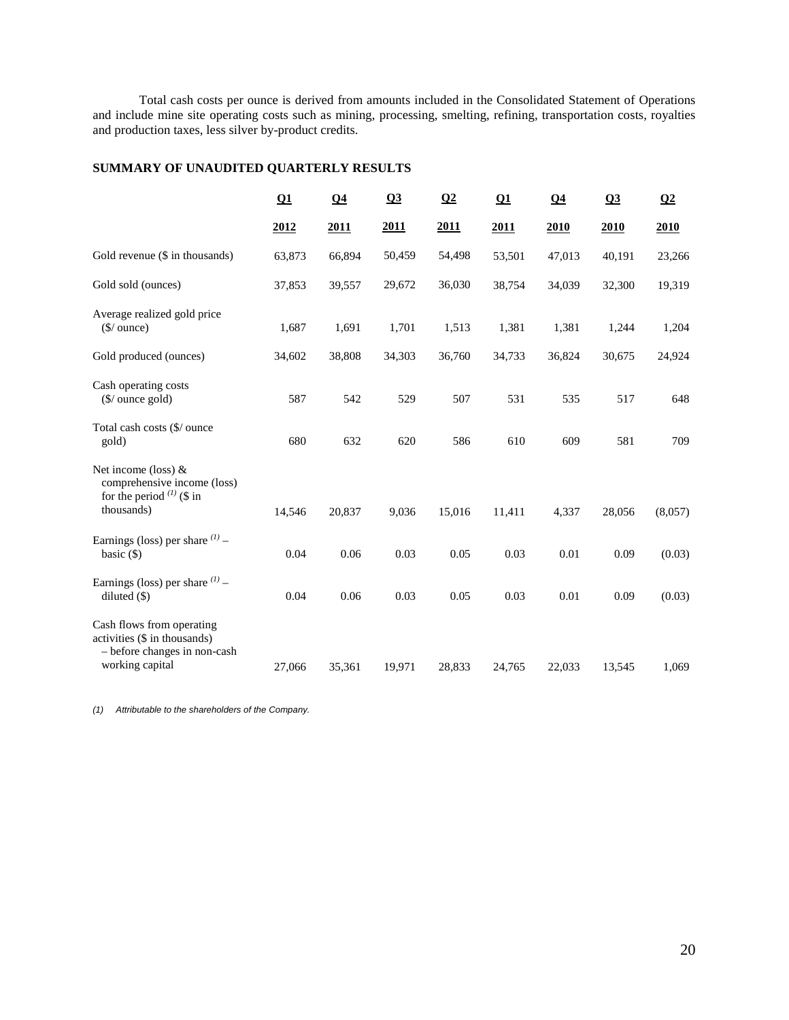Total cash costs per ounce is derived from amounts included in the Consolidated Statement of Operations and include mine site operating costs such as mining, processing, smelting, refining, transportation costs, royalties and production taxes, less silver by-product credits.

# **SUMMARY OF UNAUDITED QUARTERLY RESULTS**

|                                                                                                              | $\Omega$ 1 | Q <sub>4</sub> | Q <sub>3</sub> | $\Omega$ | $\Omega$ | Q <sub>4</sub> | Q <sub>3</sub> | $\Omega$ |
|--------------------------------------------------------------------------------------------------------------|------------|----------------|----------------|----------|----------|----------------|----------------|----------|
|                                                                                                              | 2012       | 2011           | 2011           | 2011     | 2011     | 2010           | 2010           | 2010     |
| Gold revenue (\$ in thousands)                                                                               | 63,873     | 66,894         | 50,459         | 54,498   | 53,501   | 47,013         | 40,191         | 23,266   |
| Gold sold (ounces)                                                                                           | 37,853     | 39,557         | 29,672         | 36,030   | 38,754   | 34,039         | 32,300         | 19,319   |
| Average realized gold price<br>$(\$/$ ounce)                                                                 | 1,687      | 1,691          | 1,701          | 1,513    | 1,381    | 1,381          | 1,244          | 1,204    |
| Gold produced (ounces)                                                                                       | 34,602     | 38,808         | 34,303         | 36,760   | 34,733   | 36,824         | 30,675         | 24,924   |
| Cash operating costs<br>$(\frac{\sqrt{2}}{2})$ ounce gold)                                                   | 587        | 542            | 529            | 507      | 531      | 535            | 517            | 648      |
| Total cash costs (\$/ ounce<br>gold)                                                                         | 680        | 632            | 620            | 586      | 610      | 609            | 581            | 709      |
| Net income (loss) $&$<br>comprehensive income (loss)<br>for the period $(1)$ (\$ in<br>thousands)            | 14,546     | 20,837         | 9,036          | 15,016   | 11,411   | 4,337          | 28,056         | (8,057)  |
| Earnings (loss) per share $(1)$ –<br>basic $($ )                                                             | 0.04       | 0.06           | 0.03           | 0.05     | 0.03     | 0.01           | 0.09           | (0.03)   |
| Earnings (loss) per share $(1)$ –<br>diluted $(\$)$                                                          | 0.04       | 0.06           | 0.03           | 0.05     | 0.03     | 0.01           | 0.09           | (0.03)   |
| Cash flows from operating<br>activities (\$ in thousands)<br>- before changes in non-cash<br>working capital | 27,066     | 35,361         | 19,971         | 28,833   | 24,765   | 22,033         | 13,545         | 1,069    |

*(1) Attributable to the shareholders of the Company.*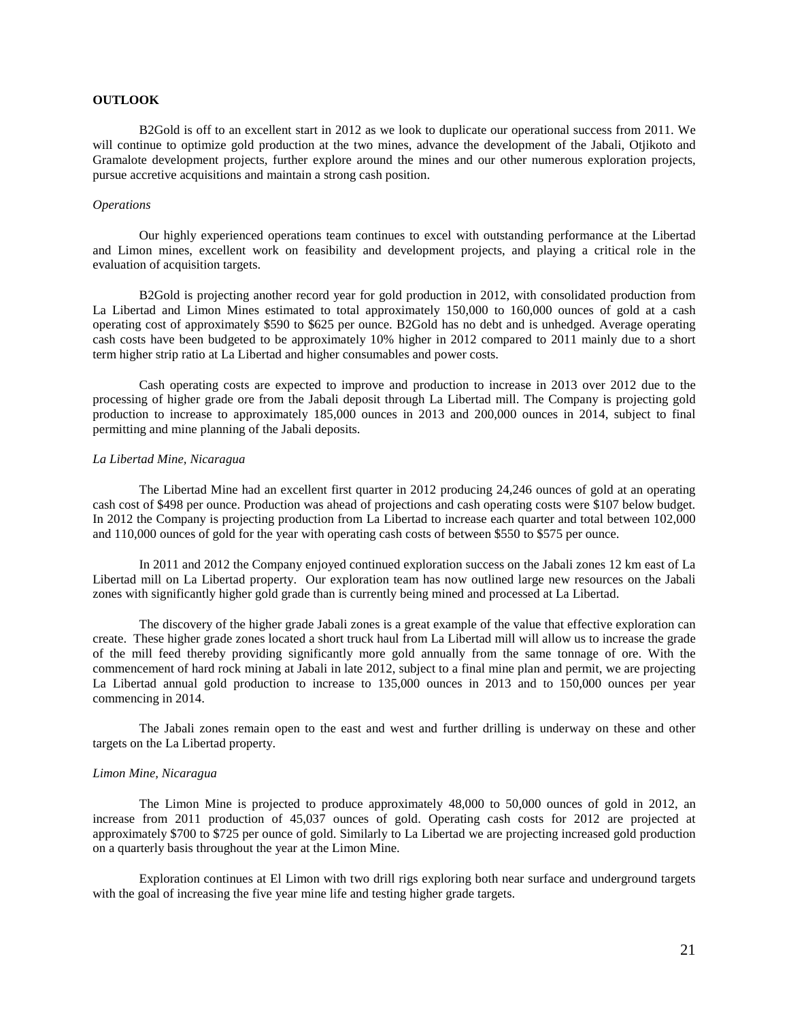# **OUTLOOK**

B2Gold is off to an excellent start in 2012 as we look to duplicate our operational success from 2011. We will continue to optimize gold production at the two mines, advance the development of the Jabali, Otjikoto and Gramalote development projects, further explore around the mines and our other numerous exploration projects, pursue accretive acquisitions and maintain a strong cash position.

# *Operations*

Our highly experienced operations team continues to excel with outstanding performance at the Libertad and Limon mines, excellent work on feasibility and development projects, and playing a critical role in the evaluation of acquisition targets.

B2Gold is projecting another record year for gold production in 2012, with consolidated production from La Libertad and Limon Mines estimated to total approximately 150,000 to 160,000 ounces of gold at a cash operating cost of approximately \$590 to \$625 per ounce. B2Gold has no debt and is unhedged. Average operating cash costs have been budgeted to be approximately 10% higher in 2012 compared to 2011 mainly due to a short term higher strip ratio at La Libertad and higher consumables and power costs.

Cash operating costs are expected to improve and production to increase in 2013 over 2012 due to the processing of higher grade ore from the Jabali deposit through La Libertad mill. The Company is projecting gold production to increase to approximately 185,000 ounces in 2013 and 200,000 ounces in 2014, subject to final permitting and mine planning of the Jabali deposits.

#### *La Libertad Mine, Nicaragua*

The Libertad Mine had an excellent first quarter in 2012 producing 24,246 ounces of gold at an operating cash cost of \$498 per ounce. Production was ahead of projections and cash operating costs were \$107 below budget. In 2012 the Company is projecting production from La Libertad to increase each quarter and total between 102,000 and 110,000 ounces of gold for the year with operating cash costs of between \$550 to \$575 per ounce.

In 2011 and 2012 the Company enjoyed continued exploration success on the Jabali zones 12 km east of La Libertad mill on La Libertad property. Our exploration team has now outlined large new resources on the Jabali zones with significantly higher gold grade than is currently being mined and processed at La Libertad.

The discovery of the higher grade Jabali zones is a great example of the value that effective exploration can create. These higher grade zones located a short truck haul from La Libertad mill will allow us to increase the grade of the mill feed thereby providing significantly more gold annually from the same tonnage of ore. With the commencement of hard rock mining at Jabali in late 2012, subject to a final mine plan and permit, we are projecting La Libertad annual gold production to increase to 135,000 ounces in 2013 and to 150,000 ounces per year commencing in 2014.

The Jabali zones remain open to the east and west and further drilling is underway on these and other targets on the La Libertad property.

#### *Limon Mine, Nicaragua*

The Limon Mine is projected to produce approximately 48,000 to 50,000 ounces of gold in 2012, an increase from 2011 production of 45,037 ounces of gold. Operating cash costs for 2012 are projected at approximately \$700 to \$725 per ounce of gold. Similarly to La Libertad we are projecting increased gold production on a quarterly basis throughout the year at the Limon Mine.

Exploration continues at El Limon with two drill rigs exploring both near surface and underground targets with the goal of increasing the five year mine life and testing higher grade targets.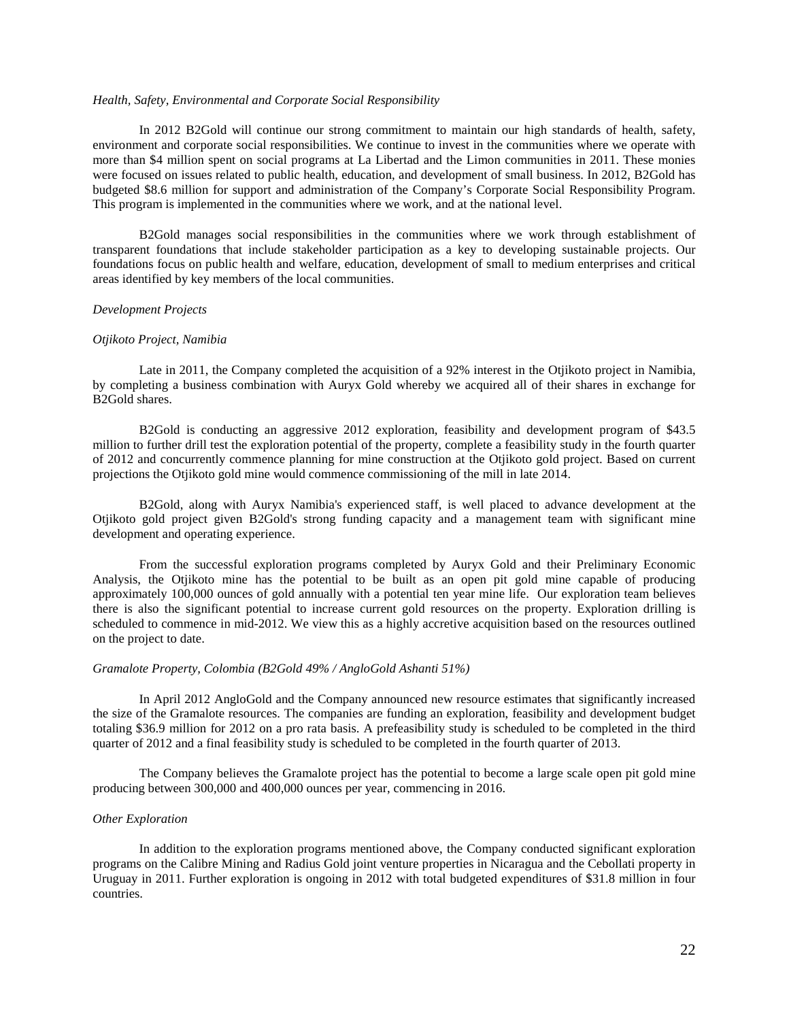# *Health, Safety, Environmental and Corporate Social Responsibility*

In 2012 B2Gold will continue our strong commitment to maintain our high standards of health, safety, environment and corporate social responsibilities. We continue to invest in the communities where we operate with more than \$4 million spent on social programs at La Libertad and the Limon communities in 2011. These monies were focused on issues related to public health, education, and development of small business. In 2012, B2Gold has budgeted \$8.6 million for support and administration of the Company's Corporate Social Responsibility Program. This program is implemented in the communities where we work, and at the national level.

B2Gold manages social responsibilities in the communities where we work through establishment of transparent foundations that include stakeholder participation as a key to developing sustainable projects. Our foundations focus on public health and welfare, education, development of small to medium enterprises and critical areas identified by key members of the local communities.

#### *Development Projects*

#### *Otjikoto Project, Namibia*

Late in 2011, the Company completed the acquisition of a 92% interest in the Otjikoto project in Namibia, by completing a business combination with Auryx Gold whereby we acquired all of their shares in exchange for B2Gold shares.

B2Gold is conducting an aggressive 2012 exploration, feasibility and development program of \$43.5 million to further drill test the exploration potential of the property, complete a feasibility study in the fourth quarter of 2012 and concurrently commence planning for mine construction at the Otjikoto gold project. Based on current projections the Otjikoto gold mine would commence commissioning of the mill in late 2014.

B2Gold, along with Auryx Namibia's experienced staff, is well placed to advance development at the Otjikoto gold project given B2Gold's strong funding capacity and a management team with significant mine development and operating experience.

From the successful exploration programs completed by Auryx Gold and their Preliminary Economic Analysis, the Otjikoto mine has the potential to be built as an open pit gold mine capable of producing approximately 100,000 ounces of gold annually with a potential ten year mine life. Our exploration team believes there is also the significant potential to increase current gold resources on the property. Exploration drilling is scheduled to commence in mid-2012. We view this as a highly accretive acquisition based on the resources outlined on the project to date.

### *Gramalote Property, Colombia (B2Gold 49% / AngloGold Ashanti 51%)*

In April 2012 AngloGold and the Company announced new resource estimates that significantly increased the size of the Gramalote resources. The companies are funding an exploration, feasibility and development budget totaling \$36.9 million for 2012 on a pro rata basis. A prefeasibility study is scheduled to be completed in the third quarter of 2012 and a final feasibility study is scheduled to be completed in the fourth quarter of 2013.

The Company believes the Gramalote project has the potential to become a large scale open pit gold mine producing between 300,000 and 400,000 ounces per year, commencing in 2016.

#### *Other Exploration*

In addition to the exploration programs mentioned above, the Company conducted significant exploration programs on the Calibre Mining and Radius Gold joint venture properties in Nicaragua and the Cebollati property in Uruguay in 2011. Further exploration is ongoing in 2012 with total budgeted expenditures of \$31.8 million in four countries.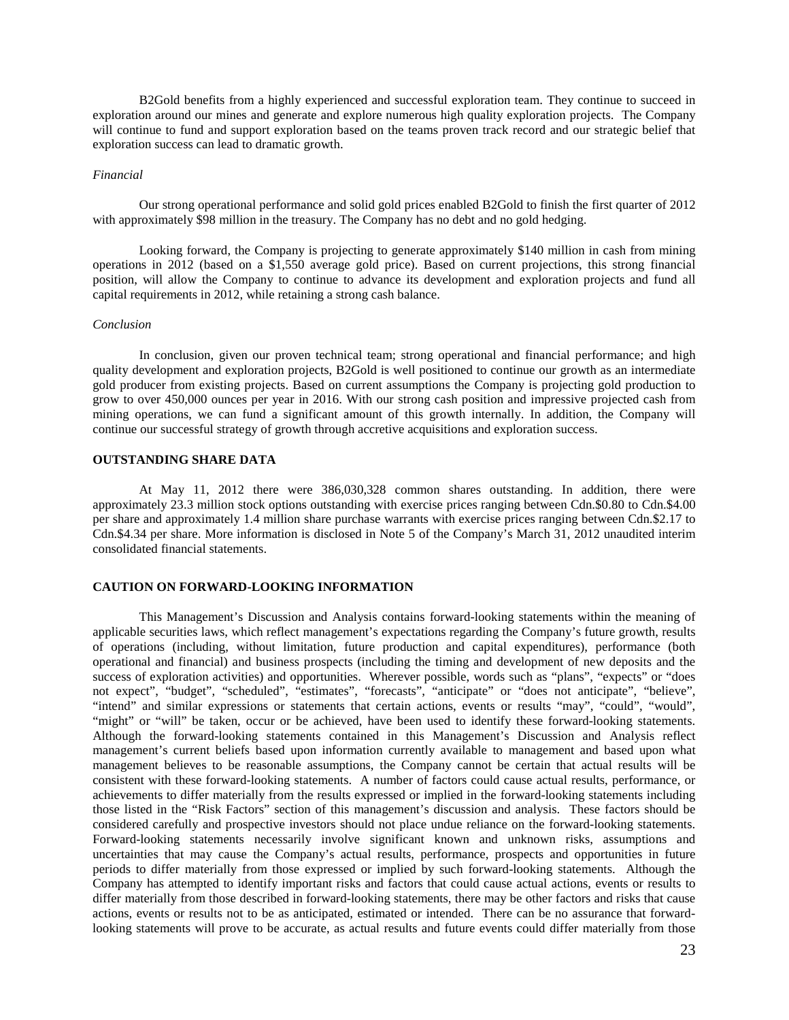B2Gold benefits from a highly experienced and successful exploration team. They continue to succeed in exploration around our mines and generate and explore numerous high quality exploration projects. The Company will continue to fund and support exploration based on the teams proven track record and our strategic belief that exploration success can lead to dramatic growth.

### *Financial*

Our strong operational performance and solid gold prices enabled B2Gold to finish the first quarter of 2012 with approximately \$98 million in the treasury. The Company has no debt and no gold hedging.

Looking forward, the Company is projecting to generate approximately \$140 million in cash from mining operations in 2012 (based on a \$1,550 average gold price). Based on current projections, this strong financial position, will allow the Company to continue to advance its development and exploration projects and fund all capital requirements in 2012, while retaining a strong cash balance.

#### *Conclusion*

In conclusion, given our proven technical team; strong operational and financial performance; and high quality development and exploration projects, B2Gold is well positioned to continue our growth as an intermediate gold producer from existing projects. Based on current assumptions the Company is projecting gold production to grow to over 450,000 ounces per year in 2016. With our strong cash position and impressive projected cash from mining operations, we can fund a significant amount of this growth internally. In addition, the Company will continue our successful strategy of growth through accretive acquisitions and exploration success.

# **OUTSTANDING SHARE DATA**

At May 11, 2012 there were 386,030,328 common shares outstanding. In addition, there were approximately 23.3 million stock options outstanding with exercise prices ranging between Cdn.\$0.80 to Cdn.\$4.00 per share and approximately 1.4 million share purchase warrants with exercise prices ranging between Cdn.\$2.17 to Cdn.\$4.34 per share. More information is disclosed in Note 5 of the Company's March 31, 2012 unaudited interim consolidated financial statements.

# **CAUTION ON FORWARD-LOOKING INFORMATION**

This Management's Discussion and Analysis contains forward-looking statements within the meaning of applicable securities laws, which reflect management's expectations regarding the Company's future growth, results of operations (including, without limitation, future production and capital expenditures), performance (both operational and financial) and business prospects (including the timing and development of new deposits and the success of exploration activities) and opportunities. Wherever possible, words such as "plans", "expects" or "does not expect", "budget", "scheduled", "estimates", "forecasts", "anticipate" or "does not anticipate", "believe", "intend" and similar expressions or statements that certain actions, events or results "may", "could", "would", "might" or "will" be taken, occur or be achieved, have been used to identify these forward-looking statements. Although the forward-looking statements contained in this Management's Discussion and Analysis reflect management's current beliefs based upon information currently available to management and based upon what management believes to be reasonable assumptions, the Company cannot be certain that actual results will be consistent with these forward-looking statements. A number of factors could cause actual results, performance, or achievements to differ materially from the results expressed or implied in the forward-looking statements including those listed in the "Risk Factors" section of this management's discussion and analysis. These factors should be considered carefully and prospective investors should not place undue reliance on the forward-looking statements. Forward-looking statements necessarily involve significant known and unknown risks, assumptions and uncertainties that may cause the Company's actual results, performance, prospects and opportunities in future periods to differ materially from those expressed or implied by such forward-looking statements. Although the Company has attempted to identify important risks and factors that could cause actual actions, events or results to differ materially from those described in forward-looking statements, there may be other factors and risks that cause actions, events or results not to be as anticipated, estimated or intended. There can be no assurance that forwardlooking statements will prove to be accurate, as actual results and future events could differ materially from those